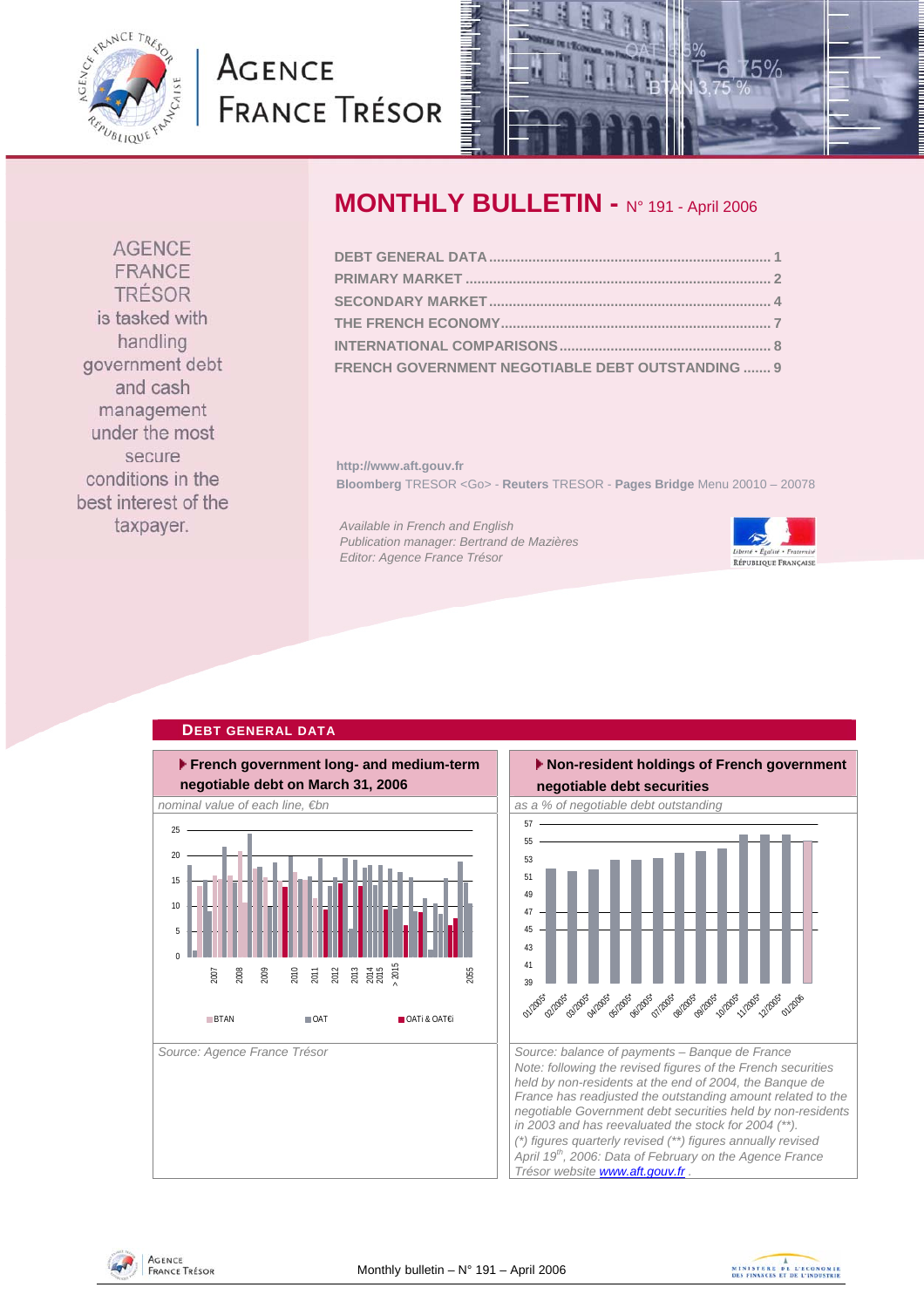<span id="page-0-0"></span>

# **AGENCE FRANCE TRÉSOR**



# **MONTHLY BULLETIN -** N° 191 - April 2006

| FRENCH GOVERNMENT NEGOTIABLE DEBT OUTSTANDING  9 |  |
|--------------------------------------------------|--|

**http://www.aft.gouv.fr Bloomberg** TRESOR <Go> - **Reuters** TRESOR - **Pages Bridge** Menu 20010 – 20078

*Available in French and English Publication manager: Bertrand de Mazières Editor: Agence France Trésor* 



### **DEBT GENERAL DATA**







**AGENCE** FRANCE TRÉSOR is tasked with handling government debt and cash management under the most secure conditions in the best interest of the taxpayer.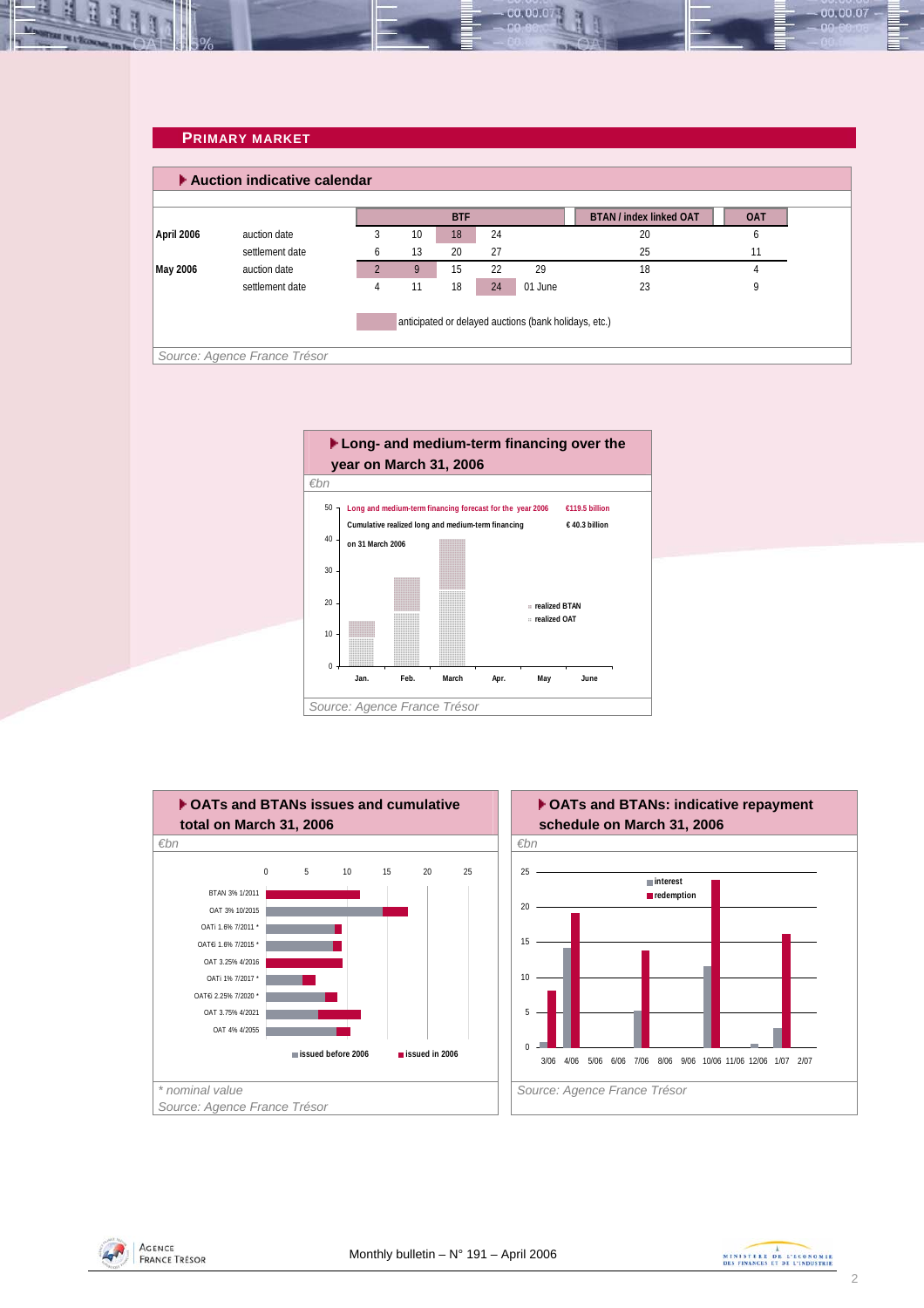### **PRIMARY MARKET**

<span id="page-1-0"></span>

00.00.0







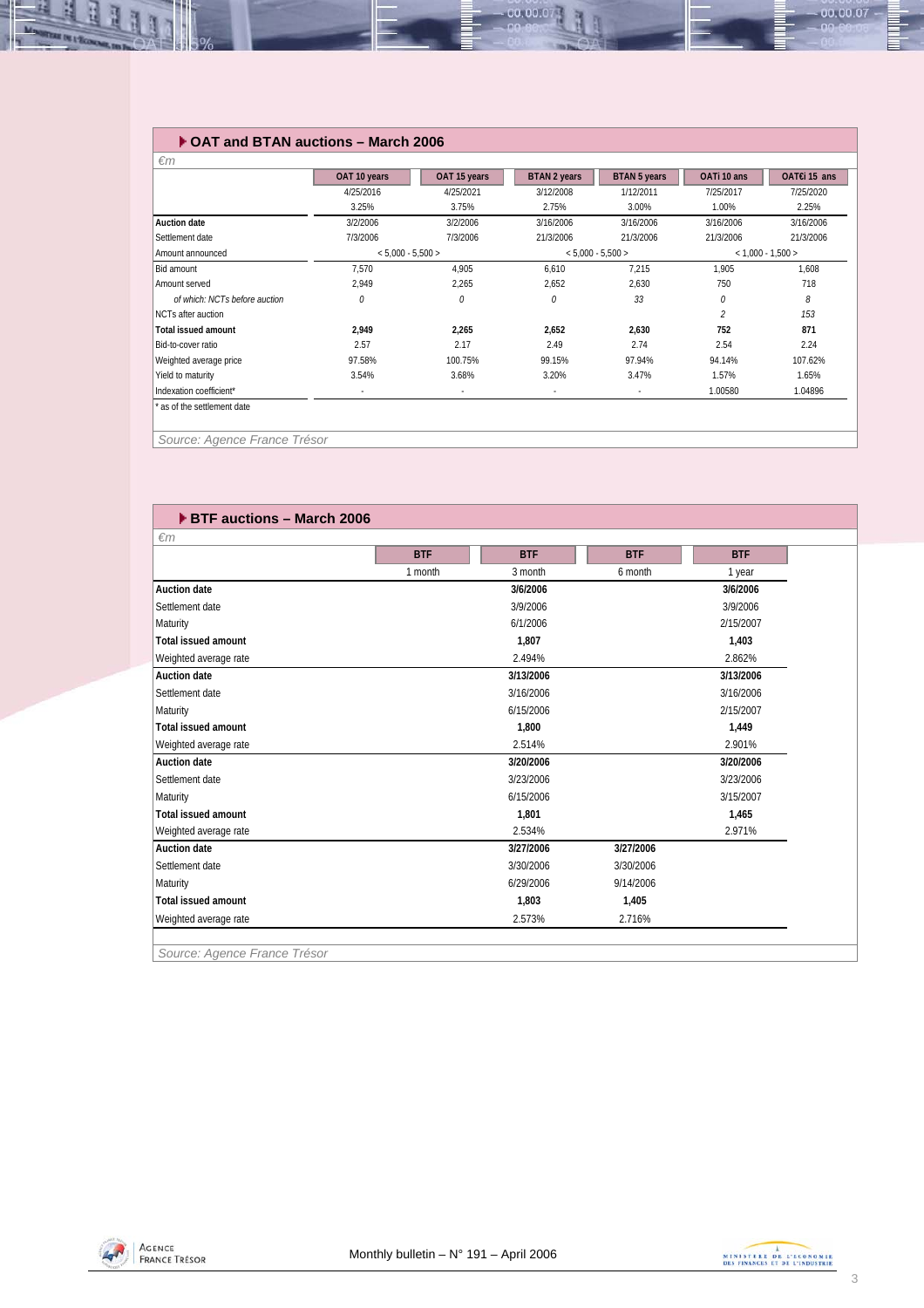### **OAT and BTAN auctions – March 2006**

|                               | OAT 10 years             | OAT 15 years | <b>BTAN 2 years</b> | <b>BTAN 5 years</b>      | OATi 10 ans         | OAT€i 15 ans |
|-------------------------------|--------------------------|--------------|---------------------|--------------------------|---------------------|--------------|
|                               | 4/25/2016                | 4/25/2021    | 3/12/2008           | 1/12/2011                | 7/25/2017           | 7/25/2020    |
|                               | 3.25%                    | 3.75%        | 2.75%               | 3.00%                    | 1.00%               | 2.25%        |
| <b>Auction date</b>           | 3/2/2006                 | 3/2/2006     | 3/16/2006           | 3/16/2006                | 3/16/2006           | 3/16/2006    |
| Settlement date               | 7/3/2006                 | 7/3/2006     | 21/3/2006           | 21/3/2006                | 21/3/2006           | 21/3/2006    |
| Amount announced              | $< 5,000 - 5,500 >$      |              | $< 5.000 - 5.500 >$ |                          | $< 1.000 - 1.500 >$ |              |
| Bid amount                    | 7,570                    | 4,905        | 6,610               | 7,215                    | 1,905               | 1,608        |
| Amount served                 | 2,949                    | 2,265        | 2,652               | 2,630                    | 750                 | 718          |
| of which: NCTs before auction | 0                        | 0            | 0                   | 33                       | 0                   | 8            |
| NCTs after auction            |                          |              |                     |                          | $\mathcal{P}$       | 153          |
| Total issued amount           | 2.949                    | 2,265        | 2.652               | 2,630                    | 752                 | 871          |
| Bid-to-cover ratio            | 2.57                     | 2.17         | 2.49                | 2.74                     | 2.54                | 2.24         |
| Weighted average price        | 97.58%                   | 100.75%      | 99.15%              | 97.94%                   | 94.14%              | 107.62%      |
| Yield to maturity             | 3.54%                    | 3.68%        | 3.20%               | 3.47%                    | 1.57%               | 1.65%        |
| Indexation coefficient*       | $\overline{\phantom{a}}$ | ٠            | ٠                   | $\overline{\phantom{a}}$ | 1.00580             | 1.04896      |

00.00.07

*Source: Agence France Trésor* 

| $\epsilon$ m               | <b>BTF</b> | <b>BTF</b> | <b>BTF</b> | <b>BTF</b>         |
|----------------------------|------------|------------|------------|--------------------|
|                            | 1 month    | 3 month    | 6 month    |                    |
| <b>Auction date</b>        |            | 3/6/2006   |            | 1 year<br>3/6/2006 |
| Settlement date            |            | 3/9/2006   |            | 3/9/2006           |
| Maturity                   |            | 6/1/2006   |            | 2/15/2007          |
| <b>Total issued amount</b> |            | 1.807      |            | 1,403              |
| Weighted average rate      |            | 2.494%     |            | 2.862%             |
| <b>Auction date</b>        |            | 3/13/2006  |            | 3/13/2006          |
| Settlement date            |            | 3/16/2006  |            | 3/16/2006          |
| Maturity                   |            | 6/15/2006  |            | 2/15/2007          |
| <b>Total issued amount</b> |            | 1.800      |            | 1,449              |
|                            |            |            |            |                    |
| Weighted average rate      |            | 2.514%     |            | 2.901%             |
| <b>Auction date</b>        |            | 3/20/2006  |            | 3/20/2006          |
| Settlement date            |            | 3/23/2006  |            | 3/23/2006          |
| Maturity                   |            | 6/15/2006  |            | 3/15/2007          |
| <b>Total issued amount</b> |            | 1.801      |            | 1,465              |
| Weighted average rate      |            | 2.534%     |            | 2.971%             |
| <b>Auction date</b>        |            | 3/27/2006  | 3/27/2006  |                    |
| Settlement date            |            | 3/30/2006  | 3/30/2006  |                    |
| Maturity                   |            | 6/29/2006  | 9/14/2006  |                    |
| <b>Total issued amount</b> |            | 1,803      | 1,405      |                    |
| Weighted average rate      |            | 2.573%     | 2.716%     |                    |

*Source: Agence France Trésor* 



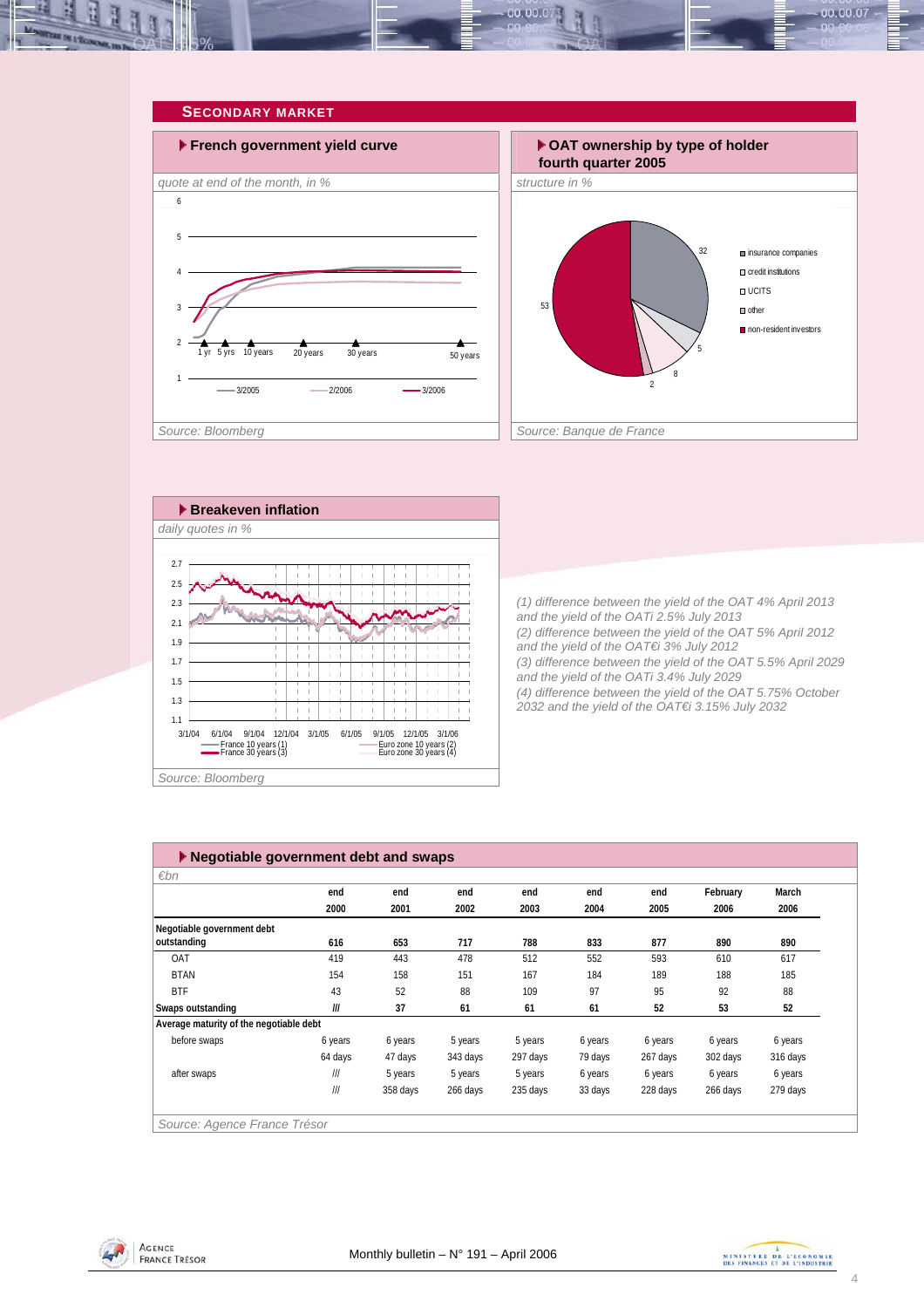<span id="page-3-0"></span>



*and the yield of the OAT€i 3% July 2012 (3) difference between the yield of the OAT 5.5% April 2029 and the yield of the OATi 3.4% July 2029 (4) difference between the yield of the OAT 5.75% October 2032 and the yield of the OAT€i 3.15% July 2032* 

1.7  $\frac{1}{1}$  $\begin{array}{c} 1 & 1 \\ 1 & 1 \end{array}$  $\frac{1}{1}$  $\frac{1}{1}$ iί ïΪ ֒. ïί ÷. -i. 1.5 îί iί îί ÷ ÎΪ i i ïί îή i. 1.3 Ť. ÷i - i ÎΪ i i iί ÎΪ -i Ť. 1.1 3/1/04 6/1/04 9/1/04 12/1/04 3/1/05 6/1/05 9/1/05 12/1/05 3/1/06<br>
France 10 years (1) Euro zone 10 years (2)<br>
France 30 years (3) Euro zone 30 years (4) Euro zone 10 years (2)<br>Euro zone 30 years (4) *Source: Bloomberg* 

 **Negotiable government debt and swaps** *€bn Source: Agence France Trésor*  **end end end end end end February March 2000 2001 2002 2003 2004 2005 2006 2006 616 653 717 788 833 877 890 890** OAT 419 443 478 512 552 593 610 617 BTAN 154 158 151 167 184 189 188 185 BTF 43 52 88 109 97 95 92 88 **Swaps outstanding /// 37 61 61 61 52 53 52 Average maturity of the negotiable debt** before swaps 6 years 6 years 5 years 5 years 6 years 6 years 6 years 6 years 64 days 47 days 343 days 297 days 79 days 267 days 302 days 316 days after swaps /// 5 years 5 years 5 years 6 years 6 years 6 years 6 years /// 358 days 266 days 235 days 33 days 228 days 266 days 279 days **Negotiable government debt outstanding**



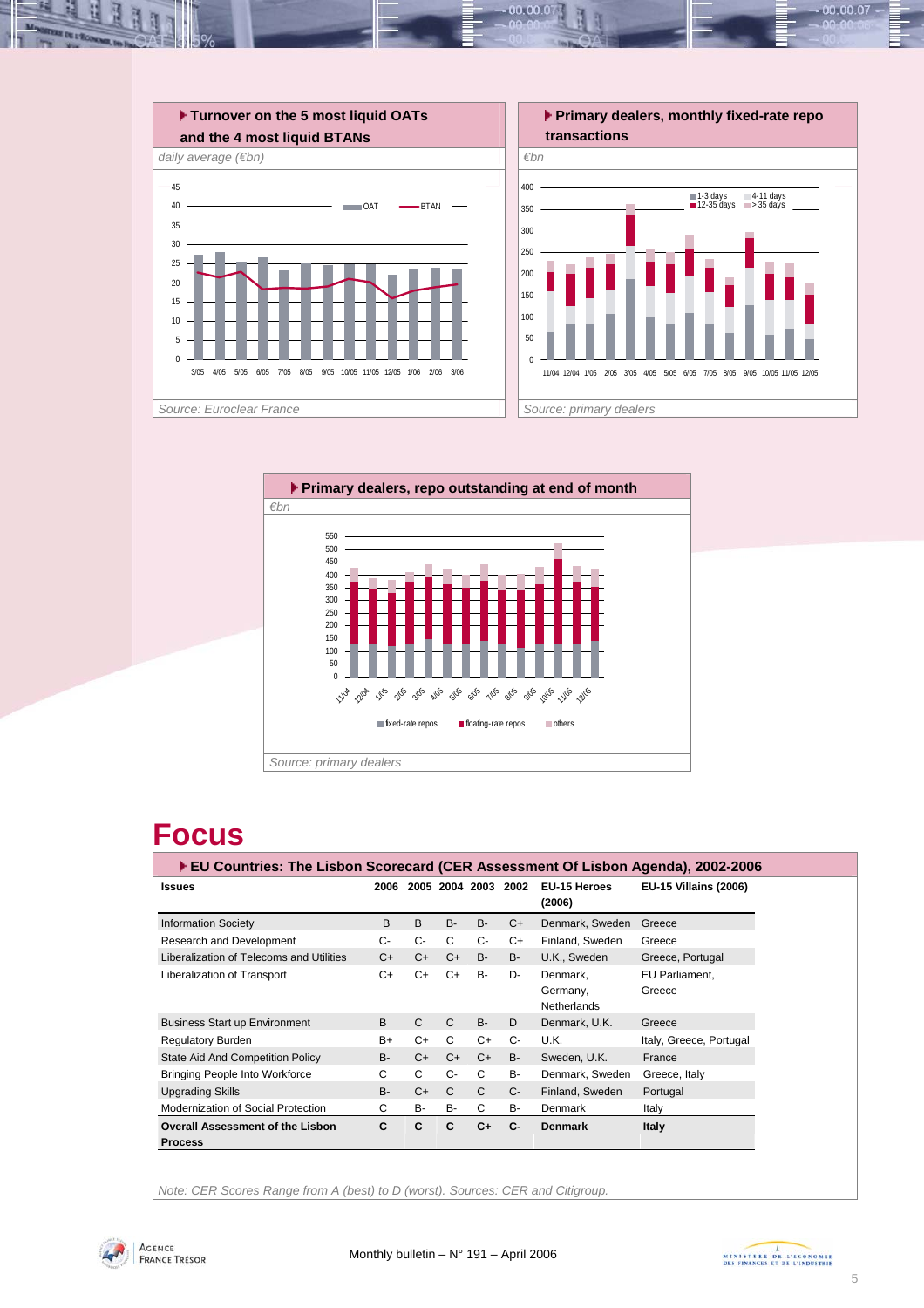



# **Focus**

| ▶ EU Countries: The Lisbon Scorecard (CER Assessment Of Lisbon Agenda), 2002-2006 |           |                          |              |              |           |                                            |                              |
|-----------------------------------------------------------------------------------|-----------|--------------------------|--------------|--------------|-----------|--------------------------------------------|------------------------------|
| <b>Issues</b>                                                                     |           | 2006 2005 2004 2003 2002 |              |              |           | EU-15 Heroes<br>(2006)                     | <b>EU-15 Villains (2006)</b> |
| <b>Information Society</b>                                                        | B         | B                        | $B -$        | <b>B-</b>    | $C+$      | Denmark, Sweden                            | Greece                       |
| Research and Development                                                          | С-        | $C-$                     | С            | $C-$         | C+        | Finland, Sweden                            | Greece                       |
| Liberalization of Telecoms and Utilities                                          | $C+$      | $C+$                     | C+           | <b>B-</b>    | <b>B-</b> | U.K., Sweden                               | Greece, Portugal             |
| Liberalization of Transport                                                       | $C+$      | $C+$                     | C+           | <b>B-</b>    | D-        | Denmark.<br>Germany,<br><b>Netherlands</b> | EU Parliament,<br>Greece     |
| <b>Business Start up Environment</b>                                              | B         | $\mathsf{C}$             | C            | <b>B-</b>    | D         | Denmark, U.K.                              | Greece                       |
| Regulatory Burden                                                                 | B+        | $C+$                     | C            | $C+$         | $C-$      | U.K.                                       | Italy, Greece, Portugal      |
| State Aid And Competition Policy                                                  | <b>B-</b> | $C+$                     | $C+$         | $C+$         | <b>B-</b> | Sweden, U.K.                               | France                       |
| <b>Bringing People Into Workforce</b>                                             | С         | C                        | $C -$        | C            | B-        | Denmark, Sweden                            | Greece, Italy                |
| <b>Upgrading Skills</b>                                                           | $B -$     | $C+$                     | $\mathsf{C}$ | $\mathsf{C}$ | $C -$     | Finland, Sweden                            | Portugal                     |
| Modernization of Social Protection                                                | C         | <b>B-</b>                | <b>B-</b>    | C            | B-        | Denmark                                    | Italy                        |
| <b>Overall Assessment of the Lisbon</b><br><b>Process</b>                         | C         | C                        | C            | $C+$         | $C-$      | <b>Denmark</b>                             | Italy                        |

*Note: CER Scores Range from A (best) to D (worst). Sources: CER and Citigroup.* 



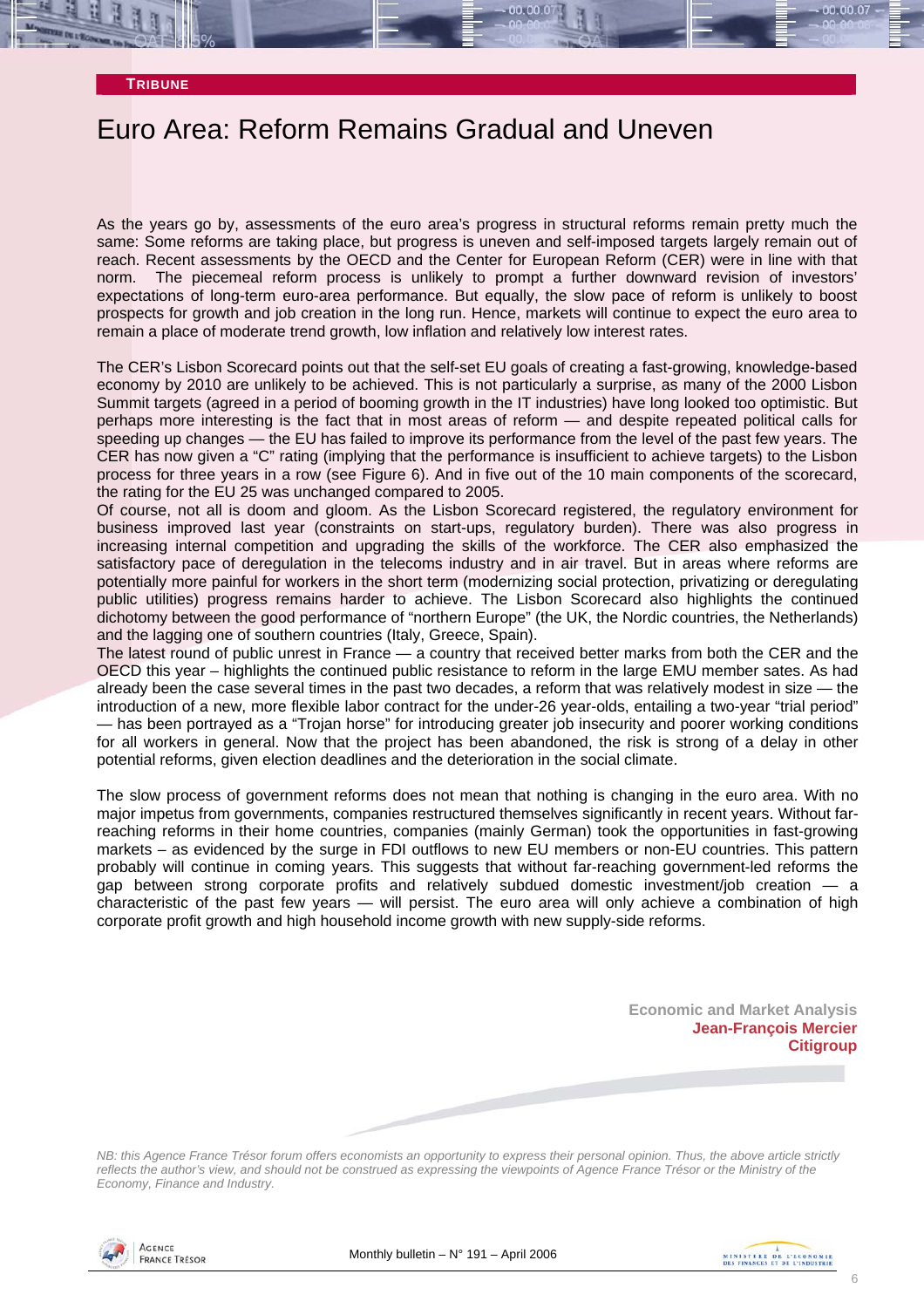#### **TRIBUNE**

## Euro Area: Reform Remains Gradual and Uneven

As the years go by, assessments of the euro area's progress in structural reforms remain pretty much the same: Some reforms are taking place, but progress is uneven and self-imposed targets largely remain out of reach. Recent assessments by the OECD and the Center for European Reform (CER) were in line with that norm. The piecemeal reform process is unlikely to prompt a further downward revision of investors' expectations of long-term euro-area performance. But equally, the slow pace of reform is unlikely to boost prospects for growth and job creation in the long run. Hence, markets will continue to expect the euro area to remain a place of moderate trend growth, low inflation and relatively low interest rates.

The CER's Lisbon Scorecard points out that the self-set EU goals of creating a fast-growing, knowledge-based economy by 2010 are unlikely to be achieved. This is not particularly a surprise, as many of the 2000 Lisbon Summit targets (agreed in a period of booming growth in the IT industries) have long looked too optimistic. But perhaps more interesting is the fact that in most areas of reform — and despite repeated political calls for speeding up changes — the EU has failed to improve its performance from the level of the past few years. The CER has now given a "C" rating (implying that the performance is insufficient to achieve targets) to the Lisbon process for three years in a row (see Figure 6). And in five out of the 10 main components of the scorecard, the rating for the EU 25 was unchanged compared to 2005.

Of course, not all is doom and gloom. As the Lisbon Scorecard registered, the regulatory environment for business improved last year (constraints on start-ups, regulatory burden). There was also progress in increasing internal competition and upgrading the skills of the workforce. The CER also emphasized the satisfactory pace of deregulation in the telecoms industry and in air travel. But in areas where reforms are potentially more painful for workers in the short term (modernizing social protection, privatizing or deregulating public utilities) progress remains harder to achieve. The Lisbon Scorecard also highlights the continued dichotomy between the good performance of "northern Europe" (the UK, the Nordic countries, the Netherlands) and the lagging one of southern countries (Italy, Greece, Spain).

The latest round of public unrest in France — a country that received better marks from both the CER and the OECD this year – highlights the continued public resistance to reform in the large EMU member sates. As had already been the case several times in the past two decades, a reform that was relatively modest in size — the introduction of a new, more flexible labor contract for the under-26 year-olds, entailing a two-year "trial period" — has been portrayed as a "Trojan horse" for introducing greater job insecurity and poorer working conditions for all workers in general. Now that the project has been abandoned, the risk is strong of a delay in other potential reforms, given election deadlines and the deterioration in the social climate.

The slow process of government reforms does not mean that nothing is changing in the euro area. With no major impetus from governments, companies restructured themselves significantly in recent years. Without farreaching reforms in their home countries, companies (mainly German) took the opportunities in fast-growing markets – as evidenced by the surge in FDI outflows to new EU members or non-EU countries. This pattern probably will continue in coming years. This suggests that without far-reaching government-led reforms the gap between strong corporate profits and relatively subdued domestic investment/job creation — a characteristic of the past few years — will persist. The euro area will only achieve a combination of high corporate profit growth and high household income growth with new supply-side reforms.

**Economic and Market Analysis Jean-François Mercier Citigroup** 

*NB: this Agence France Trésor forum offers economists an opportunity to express their personal opinion. Thus, the above article strictly reflects the author's view, and should not be construed as expressing the viewpoints of Agence France Trésor or the Ministry of the Economy, Finance and Industry.* 



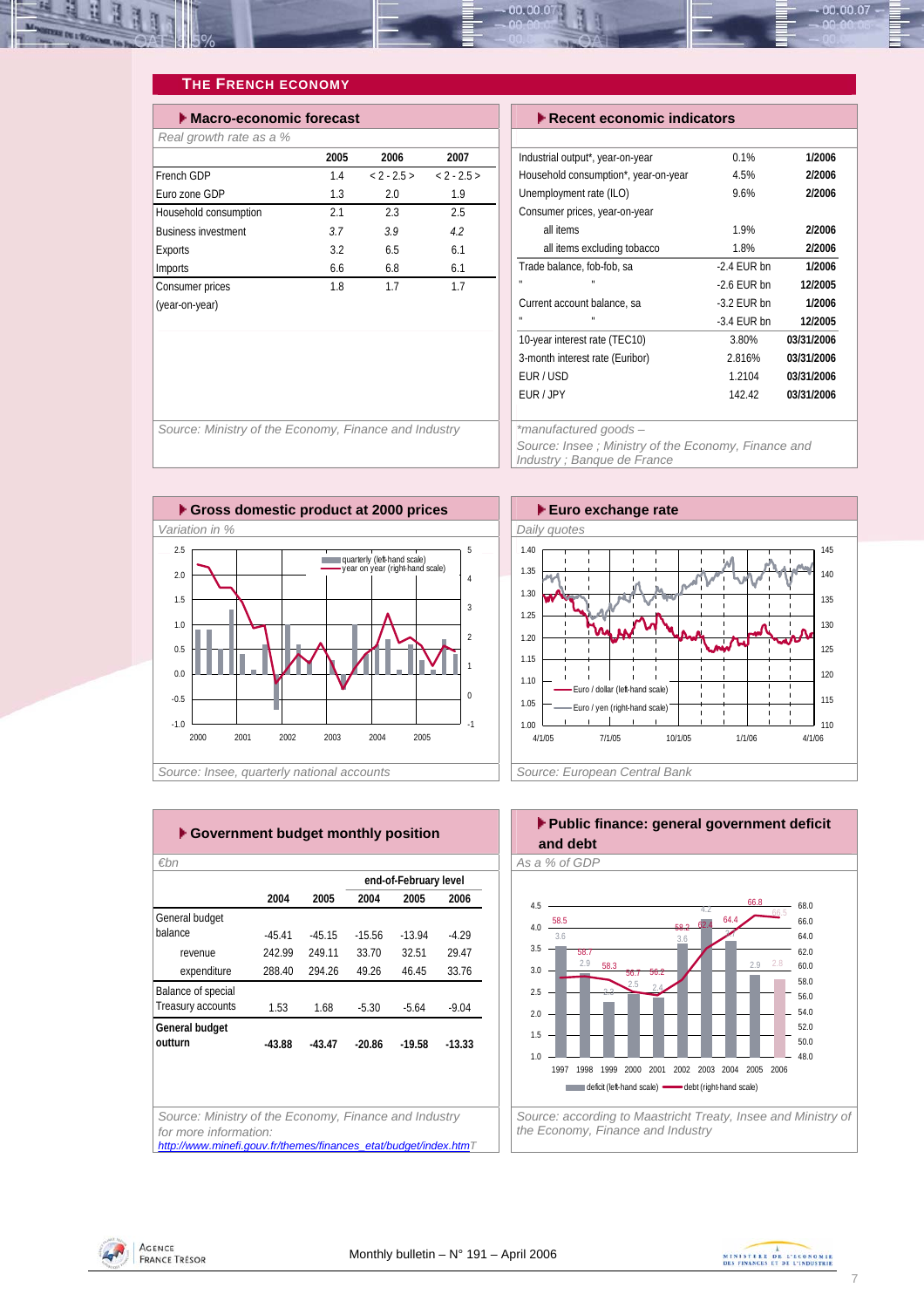<span id="page-6-0"></span>

### **THE FRENCH ECONOMY**

| Macro-economic forecast    |      |          |          |  |  |  |  |
|----------------------------|------|----------|----------|--|--|--|--|
| Real growth rate as a %    |      |          |          |  |  |  |  |
|                            | 2005 | 2006     | 2007     |  |  |  |  |
| French GDP                 | 14   | $2 - 25$ | $2 - 25$ |  |  |  |  |
| Euro zone GDP              | 1.3  | 2.0      | 1.9      |  |  |  |  |
| Household consumption      | 21   | 2.3      | 2.5      |  |  |  |  |
| <b>Business investment</b> | 37   | 39       | 42       |  |  |  |  |
| Exports                    | 32   | 6.5      | 6.1      |  |  |  |  |
| Imports                    | 6.6  | 6.8      | 6.1      |  |  |  |  |
| Consumer prices            | 1.8  | 17       | 17       |  |  |  |  |
| (year-on-year)             |      |          |          |  |  |  |  |

#### **Execent economic indicators**

| Industrial output*, year-on-year     | 0.1%          | 1/2006     |
|--------------------------------------|---------------|------------|
| Household consumption*, year-on-year | 4.5%          | 2/2006     |
| Unemployment rate (ILO)              | 9.6%          | 2/2006     |
| Consumer prices, year-on-year        |               |            |
| all items                            | 19%           | 2/2006     |
| all items excluding tobacco          | 1.8%          | 2/2006     |
| Trade balance, fob-fob, sa           | $-2.4$ EUR bn | 1/2006     |
| H                                    | $-26$ FUR bn  | 12/2005    |
| Current account balance, sa          | $-3.2$ EUR bn | 1/2006     |
| H                                    | $-3.4$ FUR bn | 12/2005    |
| 10-year interest rate (TEC10)        | 3.80%         | 03/31/2006 |
| 3-month interest rate (Euribor)      | 2.816%        | 03/31/2006 |
| <b>EUR/USD</b>                       | 1 2104        | 03/31/2006 |
| FUR / JPY                            | 142.42        | 03/31/2006 |
|                                      |               |            |

*Source: Ministry of the Economy, Finance and Industry \*manufactured goods –* 

*Source: Insee ; Ministry of the Economy, Finance and Industry ; Banque de France* 





| €bn                |          |          |          |                       |          |
|--------------------|----------|----------|----------|-----------------------|----------|
|                    |          |          |          | end-of-February level |          |
|                    | 2004     | 2005     | 2004     | 2005                  | 2006     |
| General budget     |          |          |          |                       |          |
| balance            | $-45.41$ | $-45.15$ | $-15.56$ | $-1394$               | $-4.29$  |
| revenue            | 242.99   | 249 11   | 33 70    | 32.51                 | 29.47    |
| expenditure        | 288.40   | 294.26   | 49.26    | 46.45                 | 33.76    |
| Balance of special |          |          |          |                       |          |
| Treasury accounts  | 1.53     | 1.68     | $-5.30$  | $-5.64$               | $-9.04$  |
| General budget     |          |          |          |                       |          |
| outturn            | $-43.88$ | $-43.47$ | -20.86   | $-19.58$              | $-13.33$ |

*Source: Ministry of the Economy, Finance and Industry for more information: [http://www.minefi.gouv.fr/themes/finances\\_etat/budget/index.htmT](http://www.minefi.gouv.fr/themes/finances_etat/budget/index.htm)*





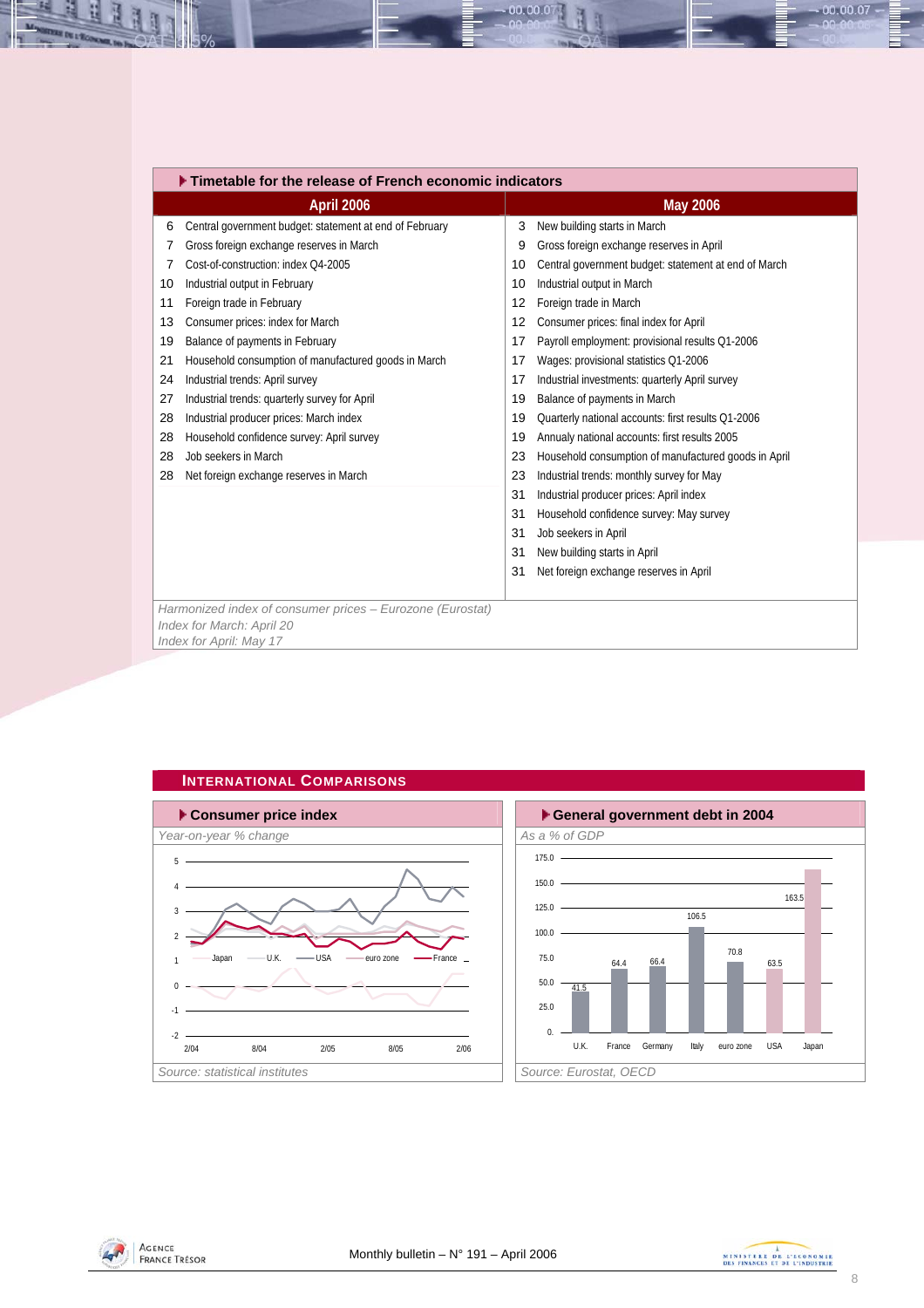<span id="page-7-0"></span>

|    | Timetable for the release of French economic indicators   |    |                                                      |  |  |  |  |
|----|-----------------------------------------------------------|----|------------------------------------------------------|--|--|--|--|
|    | April 2006                                                |    | <b>May 2006</b>                                      |  |  |  |  |
| 6  | Central government budget: statement at end of February   | 3  | New building starts in March                         |  |  |  |  |
|    | Gross foreign exchange reserves in March                  | 9  | Gross foreign exchange reserves in April             |  |  |  |  |
| 7  | Cost-of-construction: index O4-2005                       | 10 | Central government budget: statement at end of March |  |  |  |  |
| 10 | Industrial output in February                             | 10 | Industrial output in March                           |  |  |  |  |
| 11 | Foreign trade in February                                 | 12 | Foreign trade in March                               |  |  |  |  |
| 13 | Consumer prices: index for March                          | 12 | Consumer prices: final index for April               |  |  |  |  |
| 19 | Balance of payments in February                           | 17 | Payroll employment: provisional results Q1-2006      |  |  |  |  |
| 21 | Household consumption of manufactured goods in March      | 17 | Wages: provisional statistics Q1-2006                |  |  |  |  |
| 24 | Industrial trends: April survey                           | 17 | Industrial investments: quarterly April survey       |  |  |  |  |
| 27 | Industrial trends: quarterly survey for April             | 19 | Balance of payments in March                         |  |  |  |  |
| 28 | Industrial producer prices: March index                   | 19 | Quarterly national accounts: first results Q1-2006   |  |  |  |  |
| 28 | Household confidence survey: April survey                 | 19 | Annualy national accounts: first results 2005        |  |  |  |  |
| 28 | Job seekers in March                                      | 23 | Household consumption of manufactured goods in April |  |  |  |  |
| 28 | Net foreign exchange reserves in March                    | 23 | Industrial trends: monthly survey for May            |  |  |  |  |
|    |                                                           | 31 | Industrial producer prices: April index              |  |  |  |  |
|    |                                                           | 31 | Household confidence survey: May survey              |  |  |  |  |
|    |                                                           | 31 | Job seekers in April                                 |  |  |  |  |
|    |                                                           | 31 | New building starts in April                         |  |  |  |  |
|    |                                                           | 31 | Net foreign exchange reserves in April               |  |  |  |  |
|    |                                                           |    |                                                      |  |  |  |  |
|    | Harmonized index of consumer prices - Eurozone (Eurostat) |    |                                                      |  |  |  |  |
|    | Index for March: April 20<br>Index for April: May 17      |    |                                                      |  |  |  |  |
|    |                                                           |    |                                                      |  |  |  |  |

 $00.00.0$ 







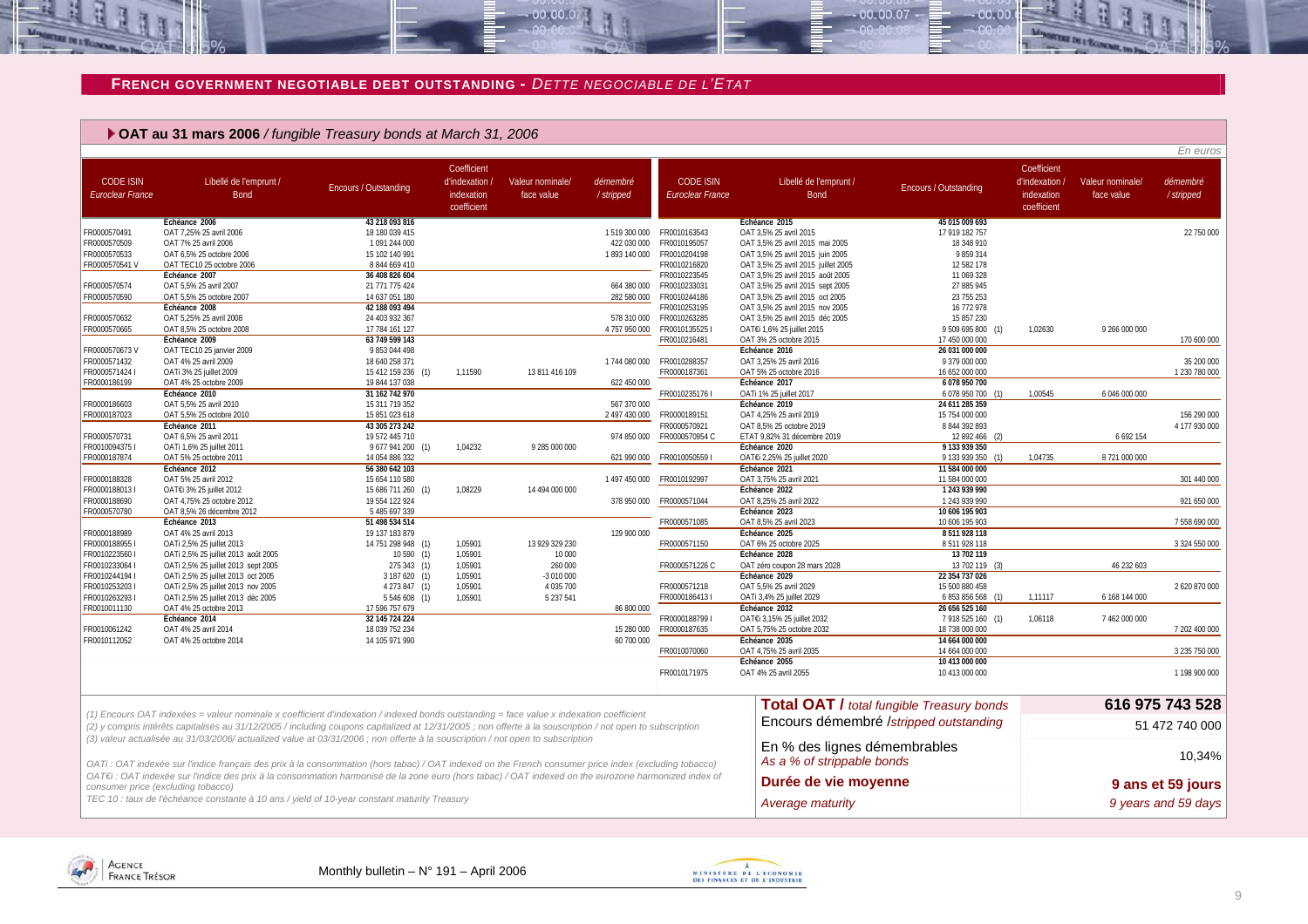#### **FRENCH GOVERNMENT NEGOTIABLE DEBT OUTSTANDING -** *DETTE NEGOCIABLE DE L'ETAT*

 $-00.00.07$ 

#### **OAT au 31 mars 2006** */ fungible Treasury bonds at March 31, 2006*

| Coefficient<br>Coefficient<br><b>CODE ISIN</b><br><b>CODE ISIN</b><br>Libellé de l'emprunt /<br>d'indexation<br>Valeur nominale/<br>démembré<br>Libellé de l'emprunt /<br>d'indexation /<br>Valeur nominale/<br>démembré<br>Encours / Outstanding<br>Encours / Outstanding<br><b>Euroclear France</b><br><b>Bond</b><br>/stripped<br>indexation<br>face value<br><b>Euroclear France</b><br><b>Bond</b><br>indexation<br>face value<br>/stripped<br>coefficient<br>coefficient<br>Echéance 2006<br>43 218 093 816<br>Echeance 2015<br>45 015 009 693<br>1519 300 000 FR0010163543<br>17 919 182 757<br>22 750 000<br>FR0000570491<br>OAT 7,25% 25 avril 2006<br>18 180 039 415<br>OAT 3,5% 25 avril 2015<br>FR0000570509<br>OAT 7% 25 avril 2006<br>1091244000<br>422 030 000<br>FR0010195057<br>OAT 3,5% 25 avril 2015 mai 2005<br>18 348 910<br>FR0000570533<br>OAT 6.5% 25 octobre 2006<br>15 102 140 991<br>1893 140 000 FR0010204198<br>9859314<br>OAT 3,5% 25 avril 2015 juin 2005<br>OAT TEC10 25 octobre 2006<br>FR0000570541 V<br>8 844 669 410<br>FR0010216820<br>OAT 3,5% 25 avril 2015 juillet 2005<br>12 582 178<br>FR0010223545<br>OAT 3,5% 25 avril 2015 août 2005<br>11 069 328<br>Échéance 2007<br>36 408 826 604<br>FR0000570574<br>OAT 5,5% 25 avril 2007<br>21 771 775 424<br>664 380 000<br>FR0010233031<br>OAT 3,5% 25 avril 2015 sept 2005<br>27 885 945<br>FR0000570590<br>OAT 5.5% 25 octobre 2007<br>282 580 000<br>FR0010244186<br>14 637 051 180<br>OAT 3,5% 25 avril 2015 oct 2005<br>23 755 253<br>FR0010253195<br>Échéance 2008<br>42 188 093 494<br>OAT 3,5% 25 avril 2015 nov 2005<br>16 772 978<br>FR0010263285<br>FR0000570632<br>OAT 5,25% 25 avril 2008<br>24 403 932 367<br>578 310 000<br>OAT 3,5% 25 avril 2015 déc 2005<br>15 857 230<br>FR0000570665<br>OAT 8.5% 25 octobre 2008<br>4 757 950 000<br>FR0010135525<br>17 784 161 127<br>OAT€i 1,6% 25 juillet 2015<br>9 509 695 800 (1)<br>1.02630<br>9 266 000 000<br>FR0010216481<br>Échéance 2009<br>63 749 599 143<br>OAT 3% 25 octobre 2015<br>17 450 000 000<br>170 600 000<br>Échéance 2016<br>26 031 000 000<br>OAT TEC10 25 janvier 2009<br>9 853 044 498<br>FR0000570673 V<br>1 744 080 000 FR0010288357<br>FR0000571432<br>OAT 4% 25 avril 2009<br>18 640 258 371<br>OAT 3,25% 25 avril 2016<br>9 379 000 000<br>35 200 000<br>FR0000571424 I<br>1,11590<br>13 811 416 109<br>FR0000187361<br>16 652 000 000<br>1 230 780 000<br>OATi 3% 25 juillet 2009<br>15 412 159 236 (1)<br>OAT 5% 25 octobre 2016<br>622 450 000<br>FR0000186199<br>OAT 4% 25 octobre 2009<br>19 844 137 038<br>Échéance 2017<br>6 078 950 700<br>Échéance 2010<br>31 162 742 970<br>FR0010235176 I<br>OATi 1% 25 juillet 2017<br>6 078 950 700 (1)<br>1,00545<br>6 046 000 000<br>FR0000186603<br>OAT 5,5% 25 avril 2010<br>15 311 719 352<br>567 370 000<br>Échéance 2019<br>24 611 285 359<br>2 497 430 000<br>FR0000187023<br>FR0000189151<br>15 754 000 000<br>156 290 000<br>OAT 5,5% 25 octobre 2010<br>15 851 023 618<br>OAT 4,25% 25 avril 2019<br>FR0000570921<br>8 844 392 893<br>4 177 930 000<br>Échéance 2011<br>43 305 273 242<br>OAT 8,5% 25 octobre 2019<br>OAT 6,5% 25 avril 2011<br>19 572 445 710<br>974 850 000<br>FR0000570954 C<br>ETAT 9,82% 31 décembre 2019<br>12 892 466 (2)<br>6 6 9 2 1 5 4<br>FR0000570731<br>FR00100943751<br>1,04232<br>9 285 000 000<br>Échéance 2020<br>9 133 939 350<br>OATi 1,6% 25 juillet 2011<br>9 677 941 200 (1)<br>FR0000187874<br>OAT 5% 25 octobre 2011<br>14 054 886 332<br>621 990 000<br>FR00100505591<br>OAT€i 2,25% 25 juillet 2020<br>9 133 939 350 (1)<br>1,04735<br>8 721 000 000<br>Échéance 2021<br>11 584 000 000<br>Échéance 2012<br>56 380 642 103<br>OAT 5% 25 avril 2012<br>15 654 110 580<br>OAT 3.75% 25 avril 2021<br>11 584 000 000<br>301 440 000<br>FR0000188328<br>1497450000<br>FR0010192997<br>FR00001880131<br>1,08229<br>Échéance 2022<br>1243 939 990<br>OAT€i 3% 25 juillet 2012<br>15 686 711 260 (1)<br>14 494 000 000<br>FR0000188690<br>OAT 8.25% 25 avril 2022<br>921 650 000<br>OAT 4,75% 25 octobre 2012<br>19 554 122 924<br>378 950 000<br>FR0000571044<br>1 243 939 990<br>FR0000570780<br>5 485 697 339<br>Échéance 2023<br>10 606 195 903<br>OAT 8,5% 26 décembre 2012<br>FR0000571085<br>OAT 8,5% 25 avril 2023<br>10 606 195 903<br>7 558 690 000<br>Échéance 2013<br>51 498 534 514<br>129 900 000<br>Échéance 2025<br>8 511 928 118<br>FR0000188989<br>OAT 4% 25 avril 2013<br>19 137 183 879<br>13 929 329 230<br>OAT 6% 25 octobre 2025<br>8 511 928 118<br>FR00001889551<br>OATi 2,5% 25 juillet 2013<br>14 751 298 948 (1)<br>1,05901<br>FR0000571150<br>3 324 550 000<br>FR0010223560 I<br>OATi 2,5% 25 juillet 2013 août 2005<br>10590(1)<br>1,05901<br>10 000<br>Échéance 2028<br>13 702 119<br>FR0010233064 I<br>FR0000571226 C<br>OAT zéro coupon 28 mars 2028<br>13 702 119 (3)<br>46 232 603<br>OATi 2,5% 25 juillet 2013 sept 2005<br>275 343 (1)<br>1,05901<br>260 000<br>FR0010244194 I<br>1,05901<br>Échéance 2029<br>22 354 737 026<br>OATi 2,5% 25 juillet 2013 oct 2005<br>3 187 620 (1)<br>-3 010 000<br>FR00102532031<br>OATi 2,5% 25 juillet 2013 nov 2005<br>4 273 847 (1)<br>1,05901<br>4 035 700<br>FR0000571218<br>OAT 5,5% 25 avril 2029<br>15 500 880 458<br>2620870000<br>FR0000186413 I<br>OATi 3,4% 25 juillet 2029<br>6 853 856 568 (1)<br>6 168 144 000<br>FR00102632931<br>OATi 2,5% 25 juillet 2013 déc 2005<br>1,05901<br>5 237 541<br>1,11117<br>5 546 608 (1)<br>86 800 000<br>Échéance 2032<br>FR0010011130<br>OAT 4% 25 octobre 2013<br>17 596 757 679<br>26 656 525 160<br>FR0000188799 I<br>Échéance 2014<br>32 145 724 224<br>OAT€i 3,15% 25 juillet 2032<br>7 918 525 160 (1)<br>1.06118<br>7 462 000 000<br>FR0000187635<br>OAT 4% 25 avril 2014<br>15 280 000<br>OAT 5,75% 25 octobre 2032<br>18 738 000 000<br>7 202 400 000<br>FR0010061242<br>18 039 752 234<br>60 700 000<br>FR0010112052<br>14 105 971 990<br>Échéance 2035<br>14 664 000 000<br>OAT 4% 25 octobre 2014<br>14 664 000 000<br>FR0010070060<br>OAT 4,75% 25 avril 2035<br>3 235 750 000<br>Échéance 2055<br>10 413 000 000<br>FR0010171975<br>OAT 4% 25 avril 2055<br>10 413 000 000<br>616 975 743 528<br><b>Total OAT / total fungible Treasury bonds</b><br>(1) Encours OAT indexées = valeur nominale x coefficient d'indexation / indexed bonds outstanding = face value x indexation coefficient<br>Encours démembré /stripped outstanding<br>51 472 740 000<br>(2) y compris intérêts capitalisés au 31/12/2005 / including coupons capitalized at 12/31/2005; non offerte à la souscription / not open to subscription<br>(3) valeur actualisée au 31/03/2006/ actualized value at 03/31/2006 ; non offerte à la souscription / not open to subscription<br>En % des lignes démembrables<br>As a % of strippable bonds<br>OATi : OAT indexée sur l'indice français des prix à la consommation (hors tabac) / OAT indexed on the French consumer price index (excluding tobacco)<br>OAT€i : OAT indexée sur l'indice des prix à la consommation harmonisé de la zone euro (hors tabac) / OAT indexed on the eurozone harmonized index of<br>Durée de vie moyenne<br>9 ans et 59 jours<br>consumer price (excluding tobacco) |  |  |  |  |  | En euros      |
|---------------------------------------------------------------------------------------------------------------------------------------------------------------------------------------------------------------------------------------------------------------------------------------------------------------------------------------------------------------------------------------------------------------------------------------------------------------------------------------------------------------------------------------------------------------------------------------------------------------------------------------------------------------------------------------------------------------------------------------------------------------------------------------------------------------------------------------------------------------------------------------------------------------------------------------------------------------------------------------------------------------------------------------------------------------------------------------------------------------------------------------------------------------------------------------------------------------------------------------------------------------------------------------------------------------------------------------------------------------------------------------------------------------------------------------------------------------------------------------------------------------------------------------------------------------------------------------------------------------------------------------------------------------------------------------------------------------------------------------------------------------------------------------------------------------------------------------------------------------------------------------------------------------------------------------------------------------------------------------------------------------------------------------------------------------------------------------------------------------------------------------------------------------------------------------------------------------------------------------------------------------------------------------------------------------------------------------------------------------------------------------------------------------------------------------------------------------------------------------------------------------------------------------------------------------------------------------------------------------------------------------------------------------------------------------------------------------------------------------------------------------------------------------------------------------------------------------------------------------------------------------------------------------------------------------------------------------------------------------------------------------------------------------------------------------------------------------------------------------------------------------------------------------------------------------------------------------------------------------------------------------------------------------------------------------------------------------------------------------------------------------------------------------------------------------------------------------------------------------------------------------------------------------------------------------------------------------------------------------------------------------------------------------------------------------------------------------------------------------------------------------------------------------------------------------------------------------------------------------------------------------------------------------------------------------------------------------------------------------------------------------------------------------------------------------------------------------------------------------------------------------------------------------------------------------------------------------------------------------------------------------------------------------------------------------------------------------------------------------------------------------------------------------------------------------------------------------------------------------------------------------------------------------------------------------------------------------------------------------------------------------------------------------------------------------------------------------------------------------------------------------------------------------------------------------------------------------------------------------------------------------------------------------------------------------------------------------------------------------------------------------------------------------------------------------------------------------------------------------------------------------------------------------------------------------------------------------------------------------------------------------------------------------------------------------------------------------------------------------------------------------------------------------------------------------------------------------------------------------------------------------------------------------------------------------------------------------------------------------------------------------------------------------------------------------------------------------------------------------------------------------------------------------------------------------------------------------------------------------------------------------------------------------------------------------------------------------------------------------------------------------------------------------------------------------------------------------------------------------------------------------------------------------------------------------------------------------------------------------------------------------------------------------------------------------------------------------------------------------------------------------------------------------------------------------------------------------------------------------------------------------------------------------------------------------------------------------------------------------------------------------------------------------------------------------------------------------------------------------------------------------------------------------------------------------------------------------------------------------------------------------------------------------------------------------------------------------------------------------------------------------------------------------------------------------------------------------------------------------------------------------------------------------------------------------------------------------------------------------|--|--|--|--|--|---------------|
|                                                                                                                                                                                                                                                                                                                                                                                                                                                                                                                                                                                                                                                                                                                                                                                                                                                                                                                                                                                                                                                                                                                                                                                                                                                                                                                                                                                                                                                                                                                                                                                                                                                                                                                                                                                                                                                                                                                                                                                                                                                                                                                                                                                                                                                                                                                                                                                                                                                                                                                                                                                                                                                                                                                                                                                                                                                                                                                                                                                                                                                                                                                                                                                                                                                                                                                                                                                                                                                                                                                                                                                                                                                                                                                                                                                                                                                                                                                                                                                                                                                                                                                                                                                                                                                                                                                                                                                                                                                                                                                                                                                                                                                                                                                                                                                                                                                                                                                                                                                                                                                                                                                                                                                                                                                                                                                                                                                                                                                                                                                                                                                                                                                                                                                                                                                                                                                                                                                                                                                                                                                                                                                                                                                                                                                                                                                                                                                                                                                                                                                                                                                                                                                                                                                                                                                                                                                                                                                                                                                                                                                                                                                                                                                                                                       |  |  |  |  |  |               |
|                                                                                                                                                                                                                                                                                                                                                                                                                                                                                                                                                                                                                                                                                                                                                                                                                                                                                                                                                                                                                                                                                                                                                                                                                                                                                                                                                                                                                                                                                                                                                                                                                                                                                                                                                                                                                                                                                                                                                                                                                                                                                                                                                                                                                                                                                                                                                                                                                                                                                                                                                                                                                                                                                                                                                                                                                                                                                                                                                                                                                                                                                                                                                                                                                                                                                                                                                                                                                                                                                                                                                                                                                                                                                                                                                                                                                                                                                                                                                                                                                                                                                                                                                                                                                                                                                                                                                                                                                                                                                                                                                                                                                                                                                                                                                                                                                                                                                                                                                                                                                                                                                                                                                                                                                                                                                                                                                                                                                                                                                                                                                                                                                                                                                                                                                                                                                                                                                                                                                                                                                                                                                                                                                                                                                                                                                                                                                                                                                                                                                                                                                                                                                                                                                                                                                                                                                                                                                                                                                                                                                                                                                                                                                                                                                                       |  |  |  |  |  |               |
|                                                                                                                                                                                                                                                                                                                                                                                                                                                                                                                                                                                                                                                                                                                                                                                                                                                                                                                                                                                                                                                                                                                                                                                                                                                                                                                                                                                                                                                                                                                                                                                                                                                                                                                                                                                                                                                                                                                                                                                                                                                                                                                                                                                                                                                                                                                                                                                                                                                                                                                                                                                                                                                                                                                                                                                                                                                                                                                                                                                                                                                                                                                                                                                                                                                                                                                                                                                                                                                                                                                                                                                                                                                                                                                                                                                                                                                                                                                                                                                                                                                                                                                                                                                                                                                                                                                                                                                                                                                                                                                                                                                                                                                                                                                                                                                                                                                                                                                                                                                                                                                                                                                                                                                                                                                                                                                                                                                                                                                                                                                                                                                                                                                                                                                                                                                                                                                                                                                                                                                                                                                                                                                                                                                                                                                                                                                                                                                                                                                                                                                                                                                                                                                                                                                                                                                                                                                                                                                                                                                                                                                                                                                                                                                                                                       |  |  |  |  |  |               |
|                                                                                                                                                                                                                                                                                                                                                                                                                                                                                                                                                                                                                                                                                                                                                                                                                                                                                                                                                                                                                                                                                                                                                                                                                                                                                                                                                                                                                                                                                                                                                                                                                                                                                                                                                                                                                                                                                                                                                                                                                                                                                                                                                                                                                                                                                                                                                                                                                                                                                                                                                                                                                                                                                                                                                                                                                                                                                                                                                                                                                                                                                                                                                                                                                                                                                                                                                                                                                                                                                                                                                                                                                                                                                                                                                                                                                                                                                                                                                                                                                                                                                                                                                                                                                                                                                                                                                                                                                                                                                                                                                                                                                                                                                                                                                                                                                                                                                                                                                                                                                                                                                                                                                                                                                                                                                                                                                                                                                                                                                                                                                                                                                                                                                                                                                                                                                                                                                                                                                                                                                                                                                                                                                                                                                                                                                                                                                                                                                                                                                                                                                                                                                                                                                                                                                                                                                                                                                                                                                                                                                                                                                                                                                                                                                                       |  |  |  |  |  |               |
|                                                                                                                                                                                                                                                                                                                                                                                                                                                                                                                                                                                                                                                                                                                                                                                                                                                                                                                                                                                                                                                                                                                                                                                                                                                                                                                                                                                                                                                                                                                                                                                                                                                                                                                                                                                                                                                                                                                                                                                                                                                                                                                                                                                                                                                                                                                                                                                                                                                                                                                                                                                                                                                                                                                                                                                                                                                                                                                                                                                                                                                                                                                                                                                                                                                                                                                                                                                                                                                                                                                                                                                                                                                                                                                                                                                                                                                                                                                                                                                                                                                                                                                                                                                                                                                                                                                                                                                                                                                                                                                                                                                                                                                                                                                                                                                                                                                                                                                                                                                                                                                                                                                                                                                                                                                                                                                                                                                                                                                                                                                                                                                                                                                                                                                                                                                                                                                                                                                                                                                                                                                                                                                                                                                                                                                                                                                                                                                                                                                                                                                                                                                                                                                                                                                                                                                                                                                                                                                                                                                                                                                                                                                                                                                                                                       |  |  |  |  |  |               |
|                                                                                                                                                                                                                                                                                                                                                                                                                                                                                                                                                                                                                                                                                                                                                                                                                                                                                                                                                                                                                                                                                                                                                                                                                                                                                                                                                                                                                                                                                                                                                                                                                                                                                                                                                                                                                                                                                                                                                                                                                                                                                                                                                                                                                                                                                                                                                                                                                                                                                                                                                                                                                                                                                                                                                                                                                                                                                                                                                                                                                                                                                                                                                                                                                                                                                                                                                                                                                                                                                                                                                                                                                                                                                                                                                                                                                                                                                                                                                                                                                                                                                                                                                                                                                                                                                                                                                                                                                                                                                                                                                                                                                                                                                                                                                                                                                                                                                                                                                                                                                                                                                                                                                                                                                                                                                                                                                                                                                                                                                                                                                                                                                                                                                                                                                                                                                                                                                                                                                                                                                                                                                                                                                                                                                                                                                                                                                                                                                                                                                                                                                                                                                                                                                                                                                                                                                                                                                                                                                                                                                                                                                                                                                                                                                                       |  |  |  |  |  |               |
|                                                                                                                                                                                                                                                                                                                                                                                                                                                                                                                                                                                                                                                                                                                                                                                                                                                                                                                                                                                                                                                                                                                                                                                                                                                                                                                                                                                                                                                                                                                                                                                                                                                                                                                                                                                                                                                                                                                                                                                                                                                                                                                                                                                                                                                                                                                                                                                                                                                                                                                                                                                                                                                                                                                                                                                                                                                                                                                                                                                                                                                                                                                                                                                                                                                                                                                                                                                                                                                                                                                                                                                                                                                                                                                                                                                                                                                                                                                                                                                                                                                                                                                                                                                                                                                                                                                                                                                                                                                                                                                                                                                                                                                                                                                                                                                                                                                                                                                                                                                                                                                                                                                                                                                                                                                                                                                                                                                                                                                                                                                                                                                                                                                                                                                                                                                                                                                                                                                                                                                                                                                                                                                                                                                                                                                                                                                                                                                                                                                                                                                                                                                                                                                                                                                                                                                                                                                                                                                                                                                                                                                                                                                                                                                                                                       |  |  |  |  |  |               |
|                                                                                                                                                                                                                                                                                                                                                                                                                                                                                                                                                                                                                                                                                                                                                                                                                                                                                                                                                                                                                                                                                                                                                                                                                                                                                                                                                                                                                                                                                                                                                                                                                                                                                                                                                                                                                                                                                                                                                                                                                                                                                                                                                                                                                                                                                                                                                                                                                                                                                                                                                                                                                                                                                                                                                                                                                                                                                                                                                                                                                                                                                                                                                                                                                                                                                                                                                                                                                                                                                                                                                                                                                                                                                                                                                                                                                                                                                                                                                                                                                                                                                                                                                                                                                                                                                                                                                                                                                                                                                                                                                                                                                                                                                                                                                                                                                                                                                                                                                                                                                                                                                                                                                                                                                                                                                                                                                                                                                                                                                                                                                                                                                                                                                                                                                                                                                                                                                                                                                                                                                                                                                                                                                                                                                                                                                                                                                                                                                                                                                                                                                                                                                                                                                                                                                                                                                                                                                                                                                                                                                                                                                                                                                                                                                                       |  |  |  |  |  |               |
|                                                                                                                                                                                                                                                                                                                                                                                                                                                                                                                                                                                                                                                                                                                                                                                                                                                                                                                                                                                                                                                                                                                                                                                                                                                                                                                                                                                                                                                                                                                                                                                                                                                                                                                                                                                                                                                                                                                                                                                                                                                                                                                                                                                                                                                                                                                                                                                                                                                                                                                                                                                                                                                                                                                                                                                                                                                                                                                                                                                                                                                                                                                                                                                                                                                                                                                                                                                                                                                                                                                                                                                                                                                                                                                                                                                                                                                                                                                                                                                                                                                                                                                                                                                                                                                                                                                                                                                                                                                                                                                                                                                                                                                                                                                                                                                                                                                                                                                                                                                                                                                                                                                                                                                                                                                                                                                                                                                                                                                                                                                                                                                                                                                                                                                                                                                                                                                                                                                                                                                                                                                                                                                                                                                                                                                                                                                                                                                                                                                                                                                                                                                                                                                                                                                                                                                                                                                                                                                                                                                                                                                                                                                                                                                                                                       |  |  |  |  |  |               |
|                                                                                                                                                                                                                                                                                                                                                                                                                                                                                                                                                                                                                                                                                                                                                                                                                                                                                                                                                                                                                                                                                                                                                                                                                                                                                                                                                                                                                                                                                                                                                                                                                                                                                                                                                                                                                                                                                                                                                                                                                                                                                                                                                                                                                                                                                                                                                                                                                                                                                                                                                                                                                                                                                                                                                                                                                                                                                                                                                                                                                                                                                                                                                                                                                                                                                                                                                                                                                                                                                                                                                                                                                                                                                                                                                                                                                                                                                                                                                                                                                                                                                                                                                                                                                                                                                                                                                                                                                                                                                                                                                                                                                                                                                                                                                                                                                                                                                                                                                                                                                                                                                                                                                                                                                                                                                                                                                                                                                                                                                                                                                                                                                                                                                                                                                                                                                                                                                                                                                                                                                                                                                                                                                                                                                                                                                                                                                                                                                                                                                                                                                                                                                                                                                                                                                                                                                                                                                                                                                                                                                                                                                                                                                                                                                                       |  |  |  |  |  |               |
|                                                                                                                                                                                                                                                                                                                                                                                                                                                                                                                                                                                                                                                                                                                                                                                                                                                                                                                                                                                                                                                                                                                                                                                                                                                                                                                                                                                                                                                                                                                                                                                                                                                                                                                                                                                                                                                                                                                                                                                                                                                                                                                                                                                                                                                                                                                                                                                                                                                                                                                                                                                                                                                                                                                                                                                                                                                                                                                                                                                                                                                                                                                                                                                                                                                                                                                                                                                                                                                                                                                                                                                                                                                                                                                                                                                                                                                                                                                                                                                                                                                                                                                                                                                                                                                                                                                                                                                                                                                                                                                                                                                                                                                                                                                                                                                                                                                                                                                                                                                                                                                                                                                                                                                                                                                                                                                                                                                                                                                                                                                                                                                                                                                                                                                                                                                                                                                                                                                                                                                                                                                                                                                                                                                                                                                                                                                                                                                                                                                                                                                                                                                                                                                                                                                                                                                                                                                                                                                                                                                                                                                                                                                                                                                                                                       |  |  |  |  |  |               |
|                                                                                                                                                                                                                                                                                                                                                                                                                                                                                                                                                                                                                                                                                                                                                                                                                                                                                                                                                                                                                                                                                                                                                                                                                                                                                                                                                                                                                                                                                                                                                                                                                                                                                                                                                                                                                                                                                                                                                                                                                                                                                                                                                                                                                                                                                                                                                                                                                                                                                                                                                                                                                                                                                                                                                                                                                                                                                                                                                                                                                                                                                                                                                                                                                                                                                                                                                                                                                                                                                                                                                                                                                                                                                                                                                                                                                                                                                                                                                                                                                                                                                                                                                                                                                                                                                                                                                                                                                                                                                                                                                                                                                                                                                                                                                                                                                                                                                                                                                                                                                                                                                                                                                                                                                                                                                                                                                                                                                                                                                                                                                                                                                                                                                                                                                                                                                                                                                                                                                                                                                                                                                                                                                                                                                                                                                                                                                                                                                                                                                                                                                                                                                                                                                                                                                                                                                                                                                                                                                                                                                                                                                                                                                                                                                                       |  |  |  |  |  |               |
|                                                                                                                                                                                                                                                                                                                                                                                                                                                                                                                                                                                                                                                                                                                                                                                                                                                                                                                                                                                                                                                                                                                                                                                                                                                                                                                                                                                                                                                                                                                                                                                                                                                                                                                                                                                                                                                                                                                                                                                                                                                                                                                                                                                                                                                                                                                                                                                                                                                                                                                                                                                                                                                                                                                                                                                                                                                                                                                                                                                                                                                                                                                                                                                                                                                                                                                                                                                                                                                                                                                                                                                                                                                                                                                                                                                                                                                                                                                                                                                                                                                                                                                                                                                                                                                                                                                                                                                                                                                                                                                                                                                                                                                                                                                                                                                                                                                                                                                                                                                                                                                                                                                                                                                                                                                                                                                                                                                                                                                                                                                                                                                                                                                                                                                                                                                                                                                                                                                                                                                                                                                                                                                                                                                                                                                                                                                                                                                                                                                                                                                                                                                                                                                                                                                                                                                                                                                                                                                                                                                                                                                                                                                                                                                                                                       |  |  |  |  |  |               |
|                                                                                                                                                                                                                                                                                                                                                                                                                                                                                                                                                                                                                                                                                                                                                                                                                                                                                                                                                                                                                                                                                                                                                                                                                                                                                                                                                                                                                                                                                                                                                                                                                                                                                                                                                                                                                                                                                                                                                                                                                                                                                                                                                                                                                                                                                                                                                                                                                                                                                                                                                                                                                                                                                                                                                                                                                                                                                                                                                                                                                                                                                                                                                                                                                                                                                                                                                                                                                                                                                                                                                                                                                                                                                                                                                                                                                                                                                                                                                                                                                                                                                                                                                                                                                                                                                                                                                                                                                                                                                                                                                                                                                                                                                                                                                                                                                                                                                                                                                                                                                                                                                                                                                                                                                                                                                                                                                                                                                                                                                                                                                                                                                                                                                                                                                                                                                                                                                                                                                                                                                                                                                                                                                                                                                                                                                                                                                                                                                                                                                                                                                                                                                                                                                                                                                                                                                                                                                                                                                                                                                                                                                                                                                                                                                                       |  |  |  |  |  |               |
|                                                                                                                                                                                                                                                                                                                                                                                                                                                                                                                                                                                                                                                                                                                                                                                                                                                                                                                                                                                                                                                                                                                                                                                                                                                                                                                                                                                                                                                                                                                                                                                                                                                                                                                                                                                                                                                                                                                                                                                                                                                                                                                                                                                                                                                                                                                                                                                                                                                                                                                                                                                                                                                                                                                                                                                                                                                                                                                                                                                                                                                                                                                                                                                                                                                                                                                                                                                                                                                                                                                                                                                                                                                                                                                                                                                                                                                                                                                                                                                                                                                                                                                                                                                                                                                                                                                                                                                                                                                                                                                                                                                                                                                                                                                                                                                                                                                                                                                                                                                                                                                                                                                                                                                                                                                                                                                                                                                                                                                                                                                                                                                                                                                                                                                                                                                                                                                                                                                                                                                                                                                                                                                                                                                                                                                                                                                                                                                                                                                                                                                                                                                                                                                                                                                                                                                                                                                                                                                                                                                                                                                                                                                                                                                                                                       |  |  |  |  |  |               |
|                                                                                                                                                                                                                                                                                                                                                                                                                                                                                                                                                                                                                                                                                                                                                                                                                                                                                                                                                                                                                                                                                                                                                                                                                                                                                                                                                                                                                                                                                                                                                                                                                                                                                                                                                                                                                                                                                                                                                                                                                                                                                                                                                                                                                                                                                                                                                                                                                                                                                                                                                                                                                                                                                                                                                                                                                                                                                                                                                                                                                                                                                                                                                                                                                                                                                                                                                                                                                                                                                                                                                                                                                                                                                                                                                                                                                                                                                                                                                                                                                                                                                                                                                                                                                                                                                                                                                                                                                                                                                                                                                                                                                                                                                                                                                                                                                                                                                                                                                                                                                                                                                                                                                                                                                                                                                                                                                                                                                                                                                                                                                                                                                                                                                                                                                                                                                                                                                                                                                                                                                                                                                                                                                                                                                                                                                                                                                                                                                                                                                                                                                                                                                                                                                                                                                                                                                                                                                                                                                                                                                                                                                                                                                                                                                                       |  |  |  |  |  |               |
|                                                                                                                                                                                                                                                                                                                                                                                                                                                                                                                                                                                                                                                                                                                                                                                                                                                                                                                                                                                                                                                                                                                                                                                                                                                                                                                                                                                                                                                                                                                                                                                                                                                                                                                                                                                                                                                                                                                                                                                                                                                                                                                                                                                                                                                                                                                                                                                                                                                                                                                                                                                                                                                                                                                                                                                                                                                                                                                                                                                                                                                                                                                                                                                                                                                                                                                                                                                                                                                                                                                                                                                                                                                                                                                                                                                                                                                                                                                                                                                                                                                                                                                                                                                                                                                                                                                                                                                                                                                                                                                                                                                                                                                                                                                                                                                                                                                                                                                                                                                                                                                                                                                                                                                                                                                                                                                                                                                                                                                                                                                                                                                                                                                                                                                                                                                                                                                                                                                                                                                                                                                                                                                                                                                                                                                                                                                                                                                                                                                                                                                                                                                                                                                                                                                                                                                                                                                                                                                                                                                                                                                                                                                                                                                                                                       |  |  |  |  |  |               |
|                                                                                                                                                                                                                                                                                                                                                                                                                                                                                                                                                                                                                                                                                                                                                                                                                                                                                                                                                                                                                                                                                                                                                                                                                                                                                                                                                                                                                                                                                                                                                                                                                                                                                                                                                                                                                                                                                                                                                                                                                                                                                                                                                                                                                                                                                                                                                                                                                                                                                                                                                                                                                                                                                                                                                                                                                                                                                                                                                                                                                                                                                                                                                                                                                                                                                                                                                                                                                                                                                                                                                                                                                                                                                                                                                                                                                                                                                                                                                                                                                                                                                                                                                                                                                                                                                                                                                                                                                                                                                                                                                                                                                                                                                                                                                                                                                                                                                                                                                                                                                                                                                                                                                                                                                                                                                                                                                                                                                                                                                                                                                                                                                                                                                                                                                                                                                                                                                                                                                                                                                                                                                                                                                                                                                                                                                                                                                                                                                                                                                                                                                                                                                                                                                                                                                                                                                                                                                                                                                                                                                                                                                                                                                                                                                                       |  |  |  |  |  |               |
|                                                                                                                                                                                                                                                                                                                                                                                                                                                                                                                                                                                                                                                                                                                                                                                                                                                                                                                                                                                                                                                                                                                                                                                                                                                                                                                                                                                                                                                                                                                                                                                                                                                                                                                                                                                                                                                                                                                                                                                                                                                                                                                                                                                                                                                                                                                                                                                                                                                                                                                                                                                                                                                                                                                                                                                                                                                                                                                                                                                                                                                                                                                                                                                                                                                                                                                                                                                                                                                                                                                                                                                                                                                                                                                                                                                                                                                                                                                                                                                                                                                                                                                                                                                                                                                                                                                                                                                                                                                                                                                                                                                                                                                                                                                                                                                                                                                                                                                                                                                                                                                                                                                                                                                                                                                                                                                                                                                                                                                                                                                                                                                                                                                                                                                                                                                                                                                                                                                                                                                                                                                                                                                                                                                                                                                                                                                                                                                                                                                                                                                                                                                                                                                                                                                                                                                                                                                                                                                                                                                                                                                                                                                                                                                                                                       |  |  |  |  |  |               |
|                                                                                                                                                                                                                                                                                                                                                                                                                                                                                                                                                                                                                                                                                                                                                                                                                                                                                                                                                                                                                                                                                                                                                                                                                                                                                                                                                                                                                                                                                                                                                                                                                                                                                                                                                                                                                                                                                                                                                                                                                                                                                                                                                                                                                                                                                                                                                                                                                                                                                                                                                                                                                                                                                                                                                                                                                                                                                                                                                                                                                                                                                                                                                                                                                                                                                                                                                                                                                                                                                                                                                                                                                                                                                                                                                                                                                                                                                                                                                                                                                                                                                                                                                                                                                                                                                                                                                                                                                                                                                                                                                                                                                                                                                                                                                                                                                                                                                                                                                                                                                                                                                                                                                                                                                                                                                                                                                                                                                                                                                                                                                                                                                                                                                                                                                                                                                                                                                                                                                                                                                                                                                                                                                                                                                                                                                                                                                                                                                                                                                                                                                                                                                                                                                                                                                                                                                                                                                                                                                                                                                                                                                                                                                                                                                                       |  |  |  |  |  |               |
|                                                                                                                                                                                                                                                                                                                                                                                                                                                                                                                                                                                                                                                                                                                                                                                                                                                                                                                                                                                                                                                                                                                                                                                                                                                                                                                                                                                                                                                                                                                                                                                                                                                                                                                                                                                                                                                                                                                                                                                                                                                                                                                                                                                                                                                                                                                                                                                                                                                                                                                                                                                                                                                                                                                                                                                                                                                                                                                                                                                                                                                                                                                                                                                                                                                                                                                                                                                                                                                                                                                                                                                                                                                                                                                                                                                                                                                                                                                                                                                                                                                                                                                                                                                                                                                                                                                                                                                                                                                                                                                                                                                                                                                                                                                                                                                                                                                                                                                                                                                                                                                                                                                                                                                                                                                                                                                                                                                                                                                                                                                                                                                                                                                                                                                                                                                                                                                                                                                                                                                                                                                                                                                                                                                                                                                                                                                                                                                                                                                                                                                                                                                                                                                                                                                                                                                                                                                                                                                                                                                                                                                                                                                                                                                                                                       |  |  |  |  |  |               |
|                                                                                                                                                                                                                                                                                                                                                                                                                                                                                                                                                                                                                                                                                                                                                                                                                                                                                                                                                                                                                                                                                                                                                                                                                                                                                                                                                                                                                                                                                                                                                                                                                                                                                                                                                                                                                                                                                                                                                                                                                                                                                                                                                                                                                                                                                                                                                                                                                                                                                                                                                                                                                                                                                                                                                                                                                                                                                                                                                                                                                                                                                                                                                                                                                                                                                                                                                                                                                                                                                                                                                                                                                                                                                                                                                                                                                                                                                                                                                                                                                                                                                                                                                                                                                                                                                                                                                                                                                                                                                                                                                                                                                                                                                                                                                                                                                                                                                                                                                                                                                                                                                                                                                                                                                                                                                                                                                                                                                                                                                                                                                                                                                                                                                                                                                                                                                                                                                                                                                                                                                                                                                                                                                                                                                                                                                                                                                                                                                                                                                                                                                                                                                                                                                                                                                                                                                                                                                                                                                                                                                                                                                                                                                                                                                                       |  |  |  |  |  |               |
|                                                                                                                                                                                                                                                                                                                                                                                                                                                                                                                                                                                                                                                                                                                                                                                                                                                                                                                                                                                                                                                                                                                                                                                                                                                                                                                                                                                                                                                                                                                                                                                                                                                                                                                                                                                                                                                                                                                                                                                                                                                                                                                                                                                                                                                                                                                                                                                                                                                                                                                                                                                                                                                                                                                                                                                                                                                                                                                                                                                                                                                                                                                                                                                                                                                                                                                                                                                                                                                                                                                                                                                                                                                                                                                                                                                                                                                                                                                                                                                                                                                                                                                                                                                                                                                                                                                                                                                                                                                                                                                                                                                                                                                                                                                                                                                                                                                                                                                                                                                                                                                                                                                                                                                                                                                                                                                                                                                                                                                                                                                                                                                                                                                                                                                                                                                                                                                                                                                                                                                                                                                                                                                                                                                                                                                                                                                                                                                                                                                                                                                                                                                                                                                                                                                                                                                                                                                                                                                                                                                                                                                                                                                                                                                                                                       |  |  |  |  |  |               |
|                                                                                                                                                                                                                                                                                                                                                                                                                                                                                                                                                                                                                                                                                                                                                                                                                                                                                                                                                                                                                                                                                                                                                                                                                                                                                                                                                                                                                                                                                                                                                                                                                                                                                                                                                                                                                                                                                                                                                                                                                                                                                                                                                                                                                                                                                                                                                                                                                                                                                                                                                                                                                                                                                                                                                                                                                                                                                                                                                                                                                                                                                                                                                                                                                                                                                                                                                                                                                                                                                                                                                                                                                                                                                                                                                                                                                                                                                                                                                                                                                                                                                                                                                                                                                                                                                                                                                                                                                                                                                                                                                                                                                                                                                                                                                                                                                                                                                                                                                                                                                                                                                                                                                                                                                                                                                                                                                                                                                                                                                                                                                                                                                                                                                                                                                                                                                                                                                                                                                                                                                                                                                                                                                                                                                                                                                                                                                                                                                                                                                                                                                                                                                                                                                                                                                                                                                                                                                                                                                                                                                                                                                                                                                                                                                                       |  |  |  |  |  |               |
|                                                                                                                                                                                                                                                                                                                                                                                                                                                                                                                                                                                                                                                                                                                                                                                                                                                                                                                                                                                                                                                                                                                                                                                                                                                                                                                                                                                                                                                                                                                                                                                                                                                                                                                                                                                                                                                                                                                                                                                                                                                                                                                                                                                                                                                                                                                                                                                                                                                                                                                                                                                                                                                                                                                                                                                                                                                                                                                                                                                                                                                                                                                                                                                                                                                                                                                                                                                                                                                                                                                                                                                                                                                                                                                                                                                                                                                                                                                                                                                                                                                                                                                                                                                                                                                                                                                                                                                                                                                                                                                                                                                                                                                                                                                                                                                                                                                                                                                                                                                                                                                                                                                                                                                                                                                                                                                                                                                                                                                                                                                                                                                                                                                                                                                                                                                                                                                                                                                                                                                                                                                                                                                                                                                                                                                                                                                                                                                                                                                                                                                                                                                                                                                                                                                                                                                                                                                                                                                                                                                                                                                                                                                                                                                                                                       |  |  |  |  |  |               |
|                                                                                                                                                                                                                                                                                                                                                                                                                                                                                                                                                                                                                                                                                                                                                                                                                                                                                                                                                                                                                                                                                                                                                                                                                                                                                                                                                                                                                                                                                                                                                                                                                                                                                                                                                                                                                                                                                                                                                                                                                                                                                                                                                                                                                                                                                                                                                                                                                                                                                                                                                                                                                                                                                                                                                                                                                                                                                                                                                                                                                                                                                                                                                                                                                                                                                                                                                                                                                                                                                                                                                                                                                                                                                                                                                                                                                                                                                                                                                                                                                                                                                                                                                                                                                                                                                                                                                                                                                                                                                                                                                                                                                                                                                                                                                                                                                                                                                                                                                                                                                                                                                                                                                                                                                                                                                                                                                                                                                                                                                                                                                                                                                                                                                                                                                                                                                                                                                                                                                                                                                                                                                                                                                                                                                                                                                                                                                                                                                                                                                                                                                                                                                                                                                                                                                                                                                                                                                                                                                                                                                                                                                                                                                                                                                                       |  |  |  |  |  |               |
|                                                                                                                                                                                                                                                                                                                                                                                                                                                                                                                                                                                                                                                                                                                                                                                                                                                                                                                                                                                                                                                                                                                                                                                                                                                                                                                                                                                                                                                                                                                                                                                                                                                                                                                                                                                                                                                                                                                                                                                                                                                                                                                                                                                                                                                                                                                                                                                                                                                                                                                                                                                                                                                                                                                                                                                                                                                                                                                                                                                                                                                                                                                                                                                                                                                                                                                                                                                                                                                                                                                                                                                                                                                                                                                                                                                                                                                                                                                                                                                                                                                                                                                                                                                                                                                                                                                                                                                                                                                                                                                                                                                                                                                                                                                                                                                                                                                                                                                                                                                                                                                                                                                                                                                                                                                                                                                                                                                                                                                                                                                                                                                                                                                                                                                                                                                                                                                                                                                                                                                                                                                                                                                                                                                                                                                                                                                                                                                                                                                                                                                                                                                                                                                                                                                                                                                                                                                                                                                                                                                                                                                                                                                                                                                                                                       |  |  |  |  |  |               |
|                                                                                                                                                                                                                                                                                                                                                                                                                                                                                                                                                                                                                                                                                                                                                                                                                                                                                                                                                                                                                                                                                                                                                                                                                                                                                                                                                                                                                                                                                                                                                                                                                                                                                                                                                                                                                                                                                                                                                                                                                                                                                                                                                                                                                                                                                                                                                                                                                                                                                                                                                                                                                                                                                                                                                                                                                                                                                                                                                                                                                                                                                                                                                                                                                                                                                                                                                                                                                                                                                                                                                                                                                                                                                                                                                                                                                                                                                                                                                                                                                                                                                                                                                                                                                                                                                                                                                                                                                                                                                                                                                                                                                                                                                                                                                                                                                                                                                                                                                                                                                                                                                                                                                                                                                                                                                                                                                                                                                                                                                                                                                                                                                                                                                                                                                                                                                                                                                                                                                                                                                                                                                                                                                                                                                                                                                                                                                                                                                                                                                                                                                                                                                                                                                                                                                                                                                                                                                                                                                                                                                                                                                                                                                                                                                                       |  |  |  |  |  |               |
|                                                                                                                                                                                                                                                                                                                                                                                                                                                                                                                                                                                                                                                                                                                                                                                                                                                                                                                                                                                                                                                                                                                                                                                                                                                                                                                                                                                                                                                                                                                                                                                                                                                                                                                                                                                                                                                                                                                                                                                                                                                                                                                                                                                                                                                                                                                                                                                                                                                                                                                                                                                                                                                                                                                                                                                                                                                                                                                                                                                                                                                                                                                                                                                                                                                                                                                                                                                                                                                                                                                                                                                                                                                                                                                                                                                                                                                                                                                                                                                                                                                                                                                                                                                                                                                                                                                                                                                                                                                                                                                                                                                                                                                                                                                                                                                                                                                                                                                                                                                                                                                                                                                                                                                                                                                                                                                                                                                                                                                                                                                                                                                                                                                                                                                                                                                                                                                                                                                                                                                                                                                                                                                                                                                                                                                                                                                                                                                                                                                                                                                                                                                                                                                                                                                                                                                                                                                                                                                                                                                                                                                                                                                                                                                                                                       |  |  |  |  |  |               |
|                                                                                                                                                                                                                                                                                                                                                                                                                                                                                                                                                                                                                                                                                                                                                                                                                                                                                                                                                                                                                                                                                                                                                                                                                                                                                                                                                                                                                                                                                                                                                                                                                                                                                                                                                                                                                                                                                                                                                                                                                                                                                                                                                                                                                                                                                                                                                                                                                                                                                                                                                                                                                                                                                                                                                                                                                                                                                                                                                                                                                                                                                                                                                                                                                                                                                                                                                                                                                                                                                                                                                                                                                                                                                                                                                                                                                                                                                                                                                                                                                                                                                                                                                                                                                                                                                                                                                                                                                                                                                                                                                                                                                                                                                                                                                                                                                                                                                                                                                                                                                                                                                                                                                                                                                                                                                                                                                                                                                                                                                                                                                                                                                                                                                                                                                                                                                                                                                                                                                                                                                                                                                                                                                                                                                                                                                                                                                                                                                                                                                                                                                                                                                                                                                                                                                                                                                                                                                                                                                                                                                                                                                                                                                                                                                                       |  |  |  |  |  |               |
|                                                                                                                                                                                                                                                                                                                                                                                                                                                                                                                                                                                                                                                                                                                                                                                                                                                                                                                                                                                                                                                                                                                                                                                                                                                                                                                                                                                                                                                                                                                                                                                                                                                                                                                                                                                                                                                                                                                                                                                                                                                                                                                                                                                                                                                                                                                                                                                                                                                                                                                                                                                                                                                                                                                                                                                                                                                                                                                                                                                                                                                                                                                                                                                                                                                                                                                                                                                                                                                                                                                                                                                                                                                                                                                                                                                                                                                                                                                                                                                                                                                                                                                                                                                                                                                                                                                                                                                                                                                                                                                                                                                                                                                                                                                                                                                                                                                                                                                                                                                                                                                                                                                                                                                                                                                                                                                                                                                                                                                                                                                                                                                                                                                                                                                                                                                                                                                                                                                                                                                                                                                                                                                                                                                                                                                                                                                                                                                                                                                                                                                                                                                                                                                                                                                                                                                                                                                                                                                                                                                                                                                                                                                                                                                                                                       |  |  |  |  |  |               |
|                                                                                                                                                                                                                                                                                                                                                                                                                                                                                                                                                                                                                                                                                                                                                                                                                                                                                                                                                                                                                                                                                                                                                                                                                                                                                                                                                                                                                                                                                                                                                                                                                                                                                                                                                                                                                                                                                                                                                                                                                                                                                                                                                                                                                                                                                                                                                                                                                                                                                                                                                                                                                                                                                                                                                                                                                                                                                                                                                                                                                                                                                                                                                                                                                                                                                                                                                                                                                                                                                                                                                                                                                                                                                                                                                                                                                                                                                                                                                                                                                                                                                                                                                                                                                                                                                                                                                                                                                                                                                                                                                                                                                                                                                                                                                                                                                                                                                                                                                                                                                                                                                                                                                                                                                                                                                                                                                                                                                                                                                                                                                                                                                                                                                                                                                                                                                                                                                                                                                                                                                                                                                                                                                                                                                                                                                                                                                                                                                                                                                                                                                                                                                                                                                                                                                                                                                                                                                                                                                                                                                                                                                                                                                                                                                                       |  |  |  |  |  |               |
|                                                                                                                                                                                                                                                                                                                                                                                                                                                                                                                                                                                                                                                                                                                                                                                                                                                                                                                                                                                                                                                                                                                                                                                                                                                                                                                                                                                                                                                                                                                                                                                                                                                                                                                                                                                                                                                                                                                                                                                                                                                                                                                                                                                                                                                                                                                                                                                                                                                                                                                                                                                                                                                                                                                                                                                                                                                                                                                                                                                                                                                                                                                                                                                                                                                                                                                                                                                                                                                                                                                                                                                                                                                                                                                                                                                                                                                                                                                                                                                                                                                                                                                                                                                                                                                                                                                                                                                                                                                                                                                                                                                                                                                                                                                                                                                                                                                                                                                                                                                                                                                                                                                                                                                                                                                                                                                                                                                                                                                                                                                                                                                                                                                                                                                                                                                                                                                                                                                                                                                                                                                                                                                                                                                                                                                                                                                                                                                                                                                                                                                                                                                                                                                                                                                                                                                                                                                                                                                                                                                                                                                                                                                                                                                                                                       |  |  |  |  |  |               |
|                                                                                                                                                                                                                                                                                                                                                                                                                                                                                                                                                                                                                                                                                                                                                                                                                                                                                                                                                                                                                                                                                                                                                                                                                                                                                                                                                                                                                                                                                                                                                                                                                                                                                                                                                                                                                                                                                                                                                                                                                                                                                                                                                                                                                                                                                                                                                                                                                                                                                                                                                                                                                                                                                                                                                                                                                                                                                                                                                                                                                                                                                                                                                                                                                                                                                                                                                                                                                                                                                                                                                                                                                                                                                                                                                                                                                                                                                                                                                                                                                                                                                                                                                                                                                                                                                                                                                                                                                                                                                                                                                                                                                                                                                                                                                                                                                                                                                                                                                                                                                                                                                                                                                                                                                                                                                                                                                                                                                                                                                                                                                                                                                                                                                                                                                                                                                                                                                                                                                                                                                                                                                                                                                                                                                                                                                                                                                                                                                                                                                                                                                                                                                                                                                                                                                                                                                                                                                                                                                                                                                                                                                                                                                                                                                                       |  |  |  |  |  |               |
|                                                                                                                                                                                                                                                                                                                                                                                                                                                                                                                                                                                                                                                                                                                                                                                                                                                                                                                                                                                                                                                                                                                                                                                                                                                                                                                                                                                                                                                                                                                                                                                                                                                                                                                                                                                                                                                                                                                                                                                                                                                                                                                                                                                                                                                                                                                                                                                                                                                                                                                                                                                                                                                                                                                                                                                                                                                                                                                                                                                                                                                                                                                                                                                                                                                                                                                                                                                                                                                                                                                                                                                                                                                                                                                                                                                                                                                                                                                                                                                                                                                                                                                                                                                                                                                                                                                                                                                                                                                                                                                                                                                                                                                                                                                                                                                                                                                                                                                                                                                                                                                                                                                                                                                                                                                                                                                                                                                                                                                                                                                                                                                                                                                                                                                                                                                                                                                                                                                                                                                                                                                                                                                                                                                                                                                                                                                                                                                                                                                                                                                                                                                                                                                                                                                                                                                                                                                                                                                                                                                                                                                                                                                                                                                                                                       |  |  |  |  |  |               |
|                                                                                                                                                                                                                                                                                                                                                                                                                                                                                                                                                                                                                                                                                                                                                                                                                                                                                                                                                                                                                                                                                                                                                                                                                                                                                                                                                                                                                                                                                                                                                                                                                                                                                                                                                                                                                                                                                                                                                                                                                                                                                                                                                                                                                                                                                                                                                                                                                                                                                                                                                                                                                                                                                                                                                                                                                                                                                                                                                                                                                                                                                                                                                                                                                                                                                                                                                                                                                                                                                                                                                                                                                                                                                                                                                                                                                                                                                                                                                                                                                                                                                                                                                                                                                                                                                                                                                                                                                                                                                                                                                                                                                                                                                                                                                                                                                                                                                                                                                                                                                                                                                                                                                                                                                                                                                                                                                                                                                                                                                                                                                                                                                                                                                                                                                                                                                                                                                                                                                                                                                                                                                                                                                                                                                                                                                                                                                                                                                                                                                                                                                                                                                                                                                                                                                                                                                                                                                                                                                                                                                                                                                                                                                                                                                                       |  |  |  |  |  |               |
|                                                                                                                                                                                                                                                                                                                                                                                                                                                                                                                                                                                                                                                                                                                                                                                                                                                                                                                                                                                                                                                                                                                                                                                                                                                                                                                                                                                                                                                                                                                                                                                                                                                                                                                                                                                                                                                                                                                                                                                                                                                                                                                                                                                                                                                                                                                                                                                                                                                                                                                                                                                                                                                                                                                                                                                                                                                                                                                                                                                                                                                                                                                                                                                                                                                                                                                                                                                                                                                                                                                                                                                                                                                                                                                                                                                                                                                                                                                                                                                                                                                                                                                                                                                                                                                                                                                                                                                                                                                                                                                                                                                                                                                                                                                                                                                                                                                                                                                                                                                                                                                                                                                                                                                                                                                                                                                                                                                                                                                                                                                                                                                                                                                                                                                                                                                                                                                                                                                                                                                                                                                                                                                                                                                                                                                                                                                                                                                                                                                                                                                                                                                                                                                                                                                                                                                                                                                                                                                                                                                                                                                                                                                                                                                                                                       |  |  |  |  |  |               |
|                                                                                                                                                                                                                                                                                                                                                                                                                                                                                                                                                                                                                                                                                                                                                                                                                                                                                                                                                                                                                                                                                                                                                                                                                                                                                                                                                                                                                                                                                                                                                                                                                                                                                                                                                                                                                                                                                                                                                                                                                                                                                                                                                                                                                                                                                                                                                                                                                                                                                                                                                                                                                                                                                                                                                                                                                                                                                                                                                                                                                                                                                                                                                                                                                                                                                                                                                                                                                                                                                                                                                                                                                                                                                                                                                                                                                                                                                                                                                                                                                                                                                                                                                                                                                                                                                                                                                                                                                                                                                                                                                                                                                                                                                                                                                                                                                                                                                                                                                                                                                                                                                                                                                                                                                                                                                                                                                                                                                                                                                                                                                                                                                                                                                                                                                                                                                                                                                                                                                                                                                                                                                                                                                                                                                                                                                                                                                                                                                                                                                                                                                                                                                                                                                                                                                                                                                                                                                                                                                                                                                                                                                                                                                                                                                                       |  |  |  |  |  |               |
|                                                                                                                                                                                                                                                                                                                                                                                                                                                                                                                                                                                                                                                                                                                                                                                                                                                                                                                                                                                                                                                                                                                                                                                                                                                                                                                                                                                                                                                                                                                                                                                                                                                                                                                                                                                                                                                                                                                                                                                                                                                                                                                                                                                                                                                                                                                                                                                                                                                                                                                                                                                                                                                                                                                                                                                                                                                                                                                                                                                                                                                                                                                                                                                                                                                                                                                                                                                                                                                                                                                                                                                                                                                                                                                                                                                                                                                                                                                                                                                                                                                                                                                                                                                                                                                                                                                                                                                                                                                                                                                                                                                                                                                                                                                                                                                                                                                                                                                                                                                                                                                                                                                                                                                                                                                                                                                                                                                                                                                                                                                                                                                                                                                                                                                                                                                                                                                                                                                                                                                                                                                                                                                                                                                                                                                                                                                                                                                                                                                                                                                                                                                                                                                                                                                                                                                                                                                                                                                                                                                                                                                                                                                                                                                                                                       |  |  |  |  |  |               |
|                                                                                                                                                                                                                                                                                                                                                                                                                                                                                                                                                                                                                                                                                                                                                                                                                                                                                                                                                                                                                                                                                                                                                                                                                                                                                                                                                                                                                                                                                                                                                                                                                                                                                                                                                                                                                                                                                                                                                                                                                                                                                                                                                                                                                                                                                                                                                                                                                                                                                                                                                                                                                                                                                                                                                                                                                                                                                                                                                                                                                                                                                                                                                                                                                                                                                                                                                                                                                                                                                                                                                                                                                                                                                                                                                                                                                                                                                                                                                                                                                                                                                                                                                                                                                                                                                                                                                                                                                                                                                                                                                                                                                                                                                                                                                                                                                                                                                                                                                                                                                                                                                                                                                                                                                                                                                                                                                                                                                                                                                                                                                                                                                                                                                                                                                                                                                                                                                                                                                                                                                                                                                                                                                                                                                                                                                                                                                                                                                                                                                                                                                                                                                                                                                                                                                                                                                                                                                                                                                                                                                                                                                                                                                                                                                                       |  |  |  |  |  |               |
|                                                                                                                                                                                                                                                                                                                                                                                                                                                                                                                                                                                                                                                                                                                                                                                                                                                                                                                                                                                                                                                                                                                                                                                                                                                                                                                                                                                                                                                                                                                                                                                                                                                                                                                                                                                                                                                                                                                                                                                                                                                                                                                                                                                                                                                                                                                                                                                                                                                                                                                                                                                                                                                                                                                                                                                                                                                                                                                                                                                                                                                                                                                                                                                                                                                                                                                                                                                                                                                                                                                                                                                                                                                                                                                                                                                                                                                                                                                                                                                                                                                                                                                                                                                                                                                                                                                                                                                                                                                                                                                                                                                                                                                                                                                                                                                                                                                                                                                                                                                                                                                                                                                                                                                                                                                                                                                                                                                                                                                                                                                                                                                                                                                                                                                                                                                                                                                                                                                                                                                                                                                                                                                                                                                                                                                                                                                                                                                                                                                                                                                                                                                                                                                                                                                                                                                                                                                                                                                                                                                                                                                                                                                                                                                                                                       |  |  |  |  |  |               |
|                                                                                                                                                                                                                                                                                                                                                                                                                                                                                                                                                                                                                                                                                                                                                                                                                                                                                                                                                                                                                                                                                                                                                                                                                                                                                                                                                                                                                                                                                                                                                                                                                                                                                                                                                                                                                                                                                                                                                                                                                                                                                                                                                                                                                                                                                                                                                                                                                                                                                                                                                                                                                                                                                                                                                                                                                                                                                                                                                                                                                                                                                                                                                                                                                                                                                                                                                                                                                                                                                                                                                                                                                                                                                                                                                                                                                                                                                                                                                                                                                                                                                                                                                                                                                                                                                                                                                                                                                                                                                                                                                                                                                                                                                                                                                                                                                                                                                                                                                                                                                                                                                                                                                                                                                                                                                                                                                                                                                                                                                                                                                                                                                                                                                                                                                                                                                                                                                                                                                                                                                                                                                                                                                                                                                                                                                                                                                                                                                                                                                                                                                                                                                                                                                                                                                                                                                                                                                                                                                                                                                                                                                                                                                                                                                                       |  |  |  |  |  |               |
|                                                                                                                                                                                                                                                                                                                                                                                                                                                                                                                                                                                                                                                                                                                                                                                                                                                                                                                                                                                                                                                                                                                                                                                                                                                                                                                                                                                                                                                                                                                                                                                                                                                                                                                                                                                                                                                                                                                                                                                                                                                                                                                                                                                                                                                                                                                                                                                                                                                                                                                                                                                                                                                                                                                                                                                                                                                                                                                                                                                                                                                                                                                                                                                                                                                                                                                                                                                                                                                                                                                                                                                                                                                                                                                                                                                                                                                                                                                                                                                                                                                                                                                                                                                                                                                                                                                                                                                                                                                                                                                                                                                                                                                                                                                                                                                                                                                                                                                                                                                                                                                                                                                                                                                                                                                                                                                                                                                                                                                                                                                                                                                                                                                                                                                                                                                                                                                                                                                                                                                                                                                                                                                                                                                                                                                                                                                                                                                                                                                                                                                                                                                                                                                                                                                                                                                                                                                                                                                                                                                                                                                                                                                                                                                                                                       |  |  |  |  |  | 1 198 900 000 |
|                                                                                                                                                                                                                                                                                                                                                                                                                                                                                                                                                                                                                                                                                                                                                                                                                                                                                                                                                                                                                                                                                                                                                                                                                                                                                                                                                                                                                                                                                                                                                                                                                                                                                                                                                                                                                                                                                                                                                                                                                                                                                                                                                                                                                                                                                                                                                                                                                                                                                                                                                                                                                                                                                                                                                                                                                                                                                                                                                                                                                                                                                                                                                                                                                                                                                                                                                                                                                                                                                                                                                                                                                                                                                                                                                                                                                                                                                                                                                                                                                                                                                                                                                                                                                                                                                                                                                                                                                                                                                                                                                                                                                                                                                                                                                                                                                                                                                                                                                                                                                                                                                                                                                                                                                                                                                                                                                                                                                                                                                                                                                                                                                                                                                                                                                                                                                                                                                                                                                                                                                                                                                                                                                                                                                                                                                                                                                                                                                                                                                                                                                                                                                                                                                                                                                                                                                                                                                                                                                                                                                                                                                                                                                                                                                                       |  |  |  |  |  |               |
|                                                                                                                                                                                                                                                                                                                                                                                                                                                                                                                                                                                                                                                                                                                                                                                                                                                                                                                                                                                                                                                                                                                                                                                                                                                                                                                                                                                                                                                                                                                                                                                                                                                                                                                                                                                                                                                                                                                                                                                                                                                                                                                                                                                                                                                                                                                                                                                                                                                                                                                                                                                                                                                                                                                                                                                                                                                                                                                                                                                                                                                                                                                                                                                                                                                                                                                                                                                                                                                                                                                                                                                                                                                                                                                                                                                                                                                                                                                                                                                                                                                                                                                                                                                                                                                                                                                                                                                                                                                                                                                                                                                                                                                                                                                                                                                                                                                                                                                                                                                                                                                                                                                                                                                                                                                                                                                                                                                                                                                                                                                                                                                                                                                                                                                                                                                                                                                                                                                                                                                                                                                                                                                                                                                                                                                                                                                                                                                                                                                                                                                                                                                                                                                                                                                                                                                                                                                                                                                                                                                                                                                                                                                                                                                                                                       |  |  |  |  |  |               |
|                                                                                                                                                                                                                                                                                                                                                                                                                                                                                                                                                                                                                                                                                                                                                                                                                                                                                                                                                                                                                                                                                                                                                                                                                                                                                                                                                                                                                                                                                                                                                                                                                                                                                                                                                                                                                                                                                                                                                                                                                                                                                                                                                                                                                                                                                                                                                                                                                                                                                                                                                                                                                                                                                                                                                                                                                                                                                                                                                                                                                                                                                                                                                                                                                                                                                                                                                                                                                                                                                                                                                                                                                                                                                                                                                                                                                                                                                                                                                                                                                                                                                                                                                                                                                                                                                                                                                                                                                                                                                                                                                                                                                                                                                                                                                                                                                                                                                                                                                                                                                                                                                                                                                                                                                                                                                                                                                                                                                                                                                                                                                                                                                                                                                                                                                                                                                                                                                                                                                                                                                                                                                                                                                                                                                                                                                                                                                                                                                                                                                                                                                                                                                                                                                                                                                                                                                                                                                                                                                                                                                                                                                                                                                                                                                                       |  |  |  |  |  | 10.34%        |
|                                                                                                                                                                                                                                                                                                                                                                                                                                                                                                                                                                                                                                                                                                                                                                                                                                                                                                                                                                                                                                                                                                                                                                                                                                                                                                                                                                                                                                                                                                                                                                                                                                                                                                                                                                                                                                                                                                                                                                                                                                                                                                                                                                                                                                                                                                                                                                                                                                                                                                                                                                                                                                                                                                                                                                                                                                                                                                                                                                                                                                                                                                                                                                                                                                                                                                                                                                                                                                                                                                                                                                                                                                                                                                                                                                                                                                                                                                                                                                                                                                                                                                                                                                                                                                                                                                                                                                                                                                                                                                                                                                                                                                                                                                                                                                                                                                                                                                                                                                                                                                                                                                                                                                                                                                                                                                                                                                                                                                                                                                                                                                                                                                                                                                                                                                                                                                                                                                                                                                                                                                                                                                                                                                                                                                                                                                                                                                                                                                                                                                                                                                                                                                                                                                                                                                                                                                                                                                                                                                                                                                                                                                                                                                                                                                       |  |  |  |  |  |               |

TEC 10 : taux de l'échéance constante à 10 ans / yield of 10-year constant maturity Treasury **Treasury and the survey in the constant maturity 9 years and 59 days 9 years and 59 days** 

<span id="page-8-0"></span>

**DE L'ECON** 



00.00.07

nn nn